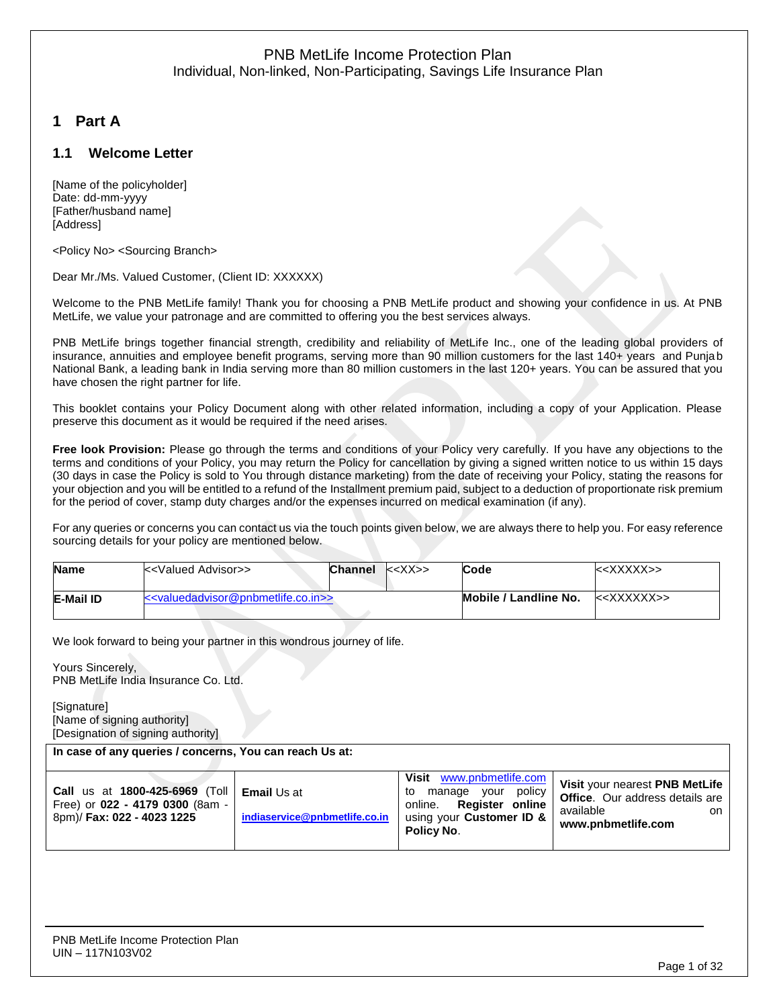# **1 Part A**

# **1.1 Welcome Letter**

[Name of the policyholder] Date: dd-mm-yyyy [Father/husband name] [Address]

<Policy No> <Sourcing Branch>

Dear Mr./Ms. Valued Customer, (Client ID: XXXXXX)

Welcome to the PNB MetLife family! Thank you for choosing a PNB MetLife product and showing your confidence in us. At PNB MetLife, we value your patronage and are committed to offering you the best services always.

PNB MetLife brings together financial strength, credibility and reliability of MetLife Inc., one of the leading global providers of insurance, annuities and employee benefit programs, serving more than 90 million customers for the last 140+ years and Punjab National Bank, a leading bank in India serving more than 80 million customers in the last 120+ years. You can be assured that you have chosen the right partner for life.

This booklet contains your Policy Document along with other related information, including a copy of your Application. Please preserve this document as it would be required if the need arises.

**Free look Provision:** Please go through the terms and conditions of your Policy very carefully. If you have any objections to the terms and conditions of your Policy, you may return the Policy for cancellation by giving a signed written notice to us within 15 days (30 days in case the Policy is sold to You through distance marketing) from the date of receiving your Policy, stating the reasons for your objection and you will be entitled to a refund of the Installment premium paid, subject to a deduction of proportionate risk premium for the period of cover, stamp duty charges and/or the expenses incurred on medical examination (if any).

For any queries or concerns you can contact us via the touch points given below, we are always there to help you. For easy reference sourcing details for your policy are mentioned below.

| <b>Name</b> | k <valued advisor="">&gt;</valued>                                      | <b>Channel</b> | k < XX >> | Code                  | $&\times$ XXXXX>> |
|-------------|-------------------------------------------------------------------------|----------------|-----------|-----------------------|-------------------|
| E-Mail ID   | < <valuedadyisor@pnbmetlife.co.in>&gt;</valuedadyisor@pnbmetlife.co.in> |                |           | Mobile / Landline No. | $\le\le$ XXXXXX>> |

We look forward to being your partner in this wondrous journey of life.

Yours Sincerely, PNB MetLife India Insurance Co. Ltd.

[Signature] [Name of signing authority] [Designation of signing authority]

**In case of any queries / concerns, You can reach Us at:**

| <b>Call</b> us at 1800-425-6969 (Toll $\vert$ <b>Email</b> Us at<br>Free) or 022 - 4179 0300 (8am -<br>8pm)/ Fax: 022 - 4023 1225 | indiaservice@pnbmetlife.co.in | Visit<br>www.pnbmetlife.com<br>policy<br>vour<br>manage<br>to<br>online. Register online<br>using your Customer ID &<br>Policy No. | Visit your nearest PNB MetLife<br><b>Office.</b> Our address details are<br>available<br>on.<br>www.pnbmetlife.com |
|-----------------------------------------------------------------------------------------------------------------------------------|-------------------------------|------------------------------------------------------------------------------------------------------------------------------------|--------------------------------------------------------------------------------------------------------------------|
|-----------------------------------------------------------------------------------------------------------------------------------|-------------------------------|------------------------------------------------------------------------------------------------------------------------------------|--------------------------------------------------------------------------------------------------------------------|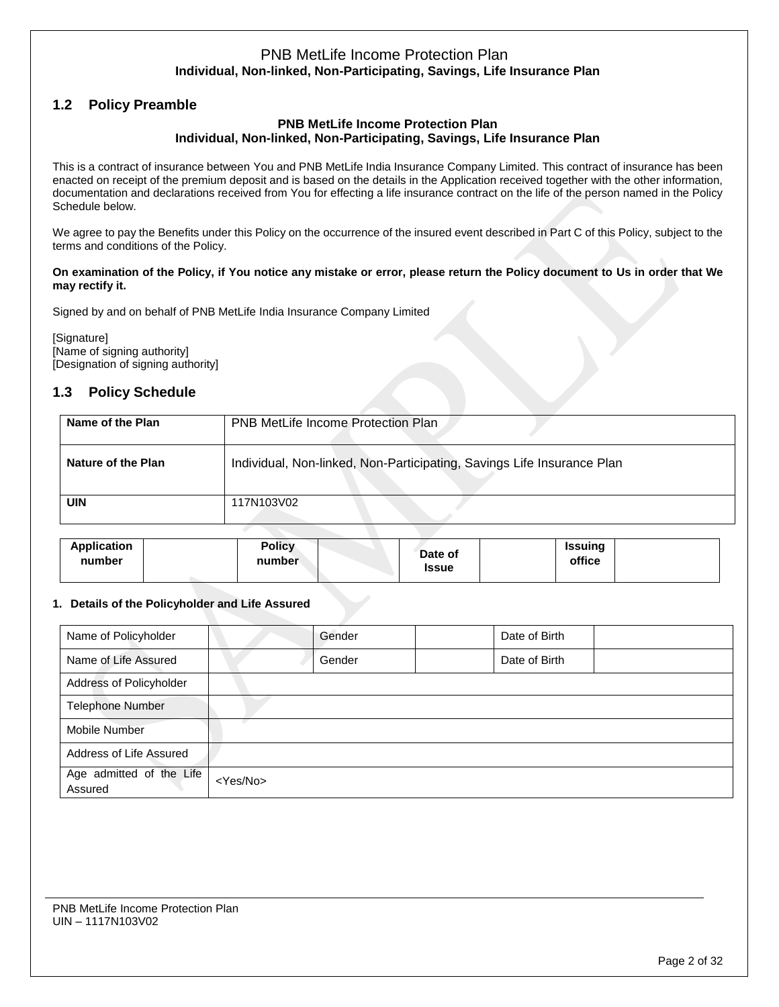# **1.2 Policy Preamble**

#### **PNB MetLife Income Protection Plan Individual, Non-linked, Non-Participating, Savings, Life Insurance Plan**

This is a contract of insurance between You and PNB MetLife India Insurance Company Limited. This contract of insurance has been enacted on receipt of the premium deposit and is based on the details in the Application received together with the other information, documentation and declarations received from You for effecting a life insurance contract on the life of the person named in the Policy Schedule below.

We agree to pay the Benefits under this Policy on the occurrence of the insured event described in Part C of this Policy, subject to the terms and conditions of the Policy.

#### **On examination of the Policy, if You notice any mistake or error, please return the Policy document to Us in order that We may rectify it.**

Signed by and on behalf of PNB MetLife India Insurance Company Limited

[Signature] [Name of signing authority] [Designation of signing authority]

# **1.3 Policy Schedule**

| Name of the Plan   | <b>PNB MetLife Income Protection Plan</b>                              |
|--------------------|------------------------------------------------------------------------|
| Nature of the Plan | Individual, Non-linked, Non-Participating, Savings Life Insurance Plan |
| <b>UIN</b>         | 117N103V02                                                             |

| <b>Application</b><br><b>Policy</b><br>number<br>number | Date of<br><b>Issue</b> | Issuing<br>office |
|---------------------------------------------------------|-------------------------|-------------------|
|---------------------------------------------------------|-------------------------|-------------------|

### **1. Details of the Policyholder and Life Assured**

| Name of Policyholder                |                   | Gender | Date of Birth |  |
|-------------------------------------|-------------------|--------|---------------|--|
| Name of Life Assured                |                   | Gender | Date of Birth |  |
| Address of Policyholder             |                   |        |               |  |
| <b>Telephone Number</b>             |                   |        |               |  |
| Mobile Number                       |                   |        |               |  |
| Address of Life Assured             |                   |        |               |  |
| Age admitted of the Life<br>Assured | <yes no=""></yes> |        |               |  |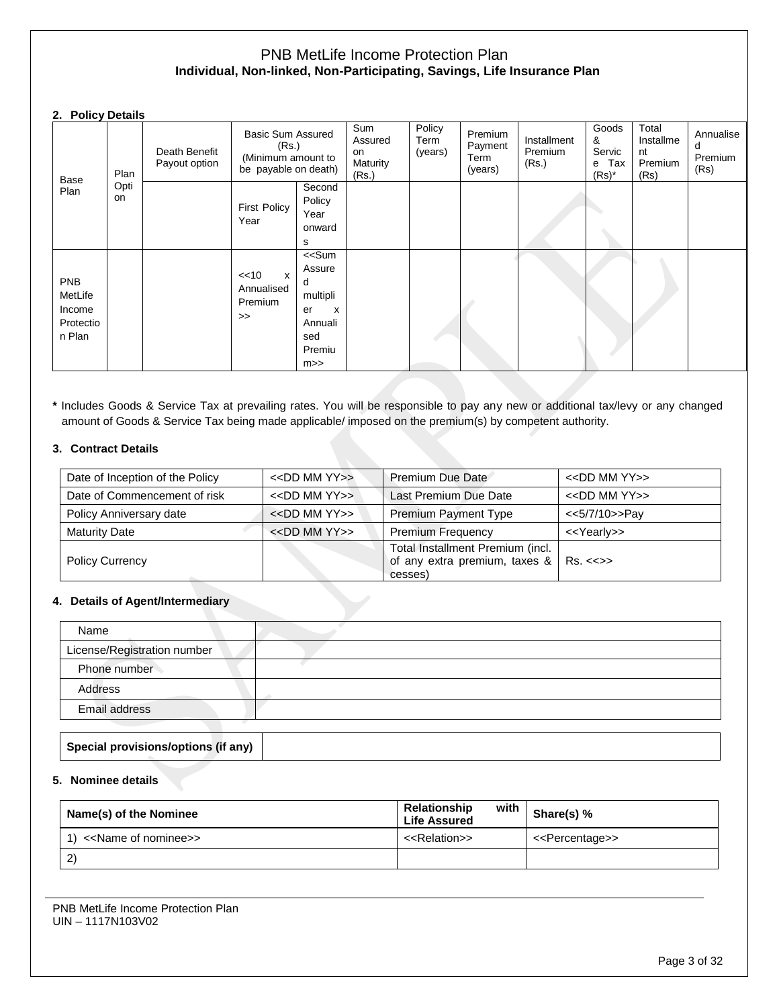#### **2. Policy Details**

| Base                                                   | Plan       | Death Benefit<br>Payout option | <b>Basic Sum Assured</b><br>(Rs.)<br>(Minimum amount to<br>be payable on death) |                                                                                                        | Sum<br>Assured<br>on<br>Maturity<br>(Rs.) | Policy<br>Term<br>(years) | Premium<br>Payment<br>Term<br>(years) | Installment<br>Premium<br>(Rs.) | Goods<br>&<br>Servic<br>e Tax<br>$(Rs)^*$ | Total<br>Installme<br>nt<br>Premium<br>(Rs) | Annualise<br>d<br>Premium<br>(Rs) |
|--------------------------------------------------------|------------|--------------------------------|---------------------------------------------------------------------------------|--------------------------------------------------------------------------------------------------------|-------------------------------------------|---------------------------|---------------------------------------|---------------------------------|-------------------------------------------|---------------------------------------------|-----------------------------------|
| Plan                                                   | Opti<br>on |                                | <b>First Policy</b><br>Year                                                     | Second<br>Policy<br>Year<br>onward<br>s                                                                |                                           |                           |                                       |                                 |                                           |                                             |                                   |
| <b>PNB</b><br>MetLife<br>Income<br>Protectio<br>n Plan |            |                                | << 10<br>$\mathsf{x}$<br>Annualised<br>Premium<br>$\gt$                         | < <sum<br>Assure<br/>d<br/>multipli<br/>X<br/>er<br/>Annuali<br/>sed<br/>Premiu<br/>m&gt;&gt;</sum<br> |                                           |                           |                                       |                                 |                                           |                                             |                                   |

**\*** Includes Goods & Service Tax at prevailing rates. You will be responsible to pay any new or additional tax/levy or any changed amount of Goods & Service Tax being made applicable/ imposed on the premium(s) by competent authority.

### **3. Contract Details**

| Date of Inception of the Policy | $<<$ DD MM YY $>>$ | Premium Due Date                                                                        | $<<$ DD MM YY $>>$      |
|---------------------------------|--------------------|-----------------------------------------------------------------------------------------|-------------------------|
| Date of Commencement of risk    | $<<$ DD MM YY $>>$ | Last Premium Due Date                                                                   | $<<$ DD MM YY $>>$      |
| Policy Anniversary date         | $<<$ DD MM YY $>>$ | <b>Premium Payment Type</b>                                                             | <<5/7/10>>Pay           |
| <b>Maturity Date</b>            | $<<$ DD MM YY $>>$ | <b>Premium Frequency</b>                                                                | < <yearly>&gt;</yearly> |
| <b>Policy Currency</b>          |                    | Total Installment Premium (incl.<br>of any extra premium, taxes &   Rs. <<>><br>cesses) |                         |

### **4. Details of Agent/Intermediary**

| Name                        |  |
|-----------------------------|--|
| License/Registration number |  |
| Phone number                |  |
| Address                     |  |
| Email address               |  |

### **Special provisions/options (if any)**

## **5. Nominee details**

| Name(s) of the Nominee               | Relationship<br>with<br><b>Life Assured</b> | Share(s) %                      |
|--------------------------------------|---------------------------------------------|---------------------------------|
| < <name nominee="" of="">&gt;</name> | < <relation>&gt;</relation>                 | < <percentage>&gt;</percentage> |
| $\left(2\right)$                     |                                             |                                 |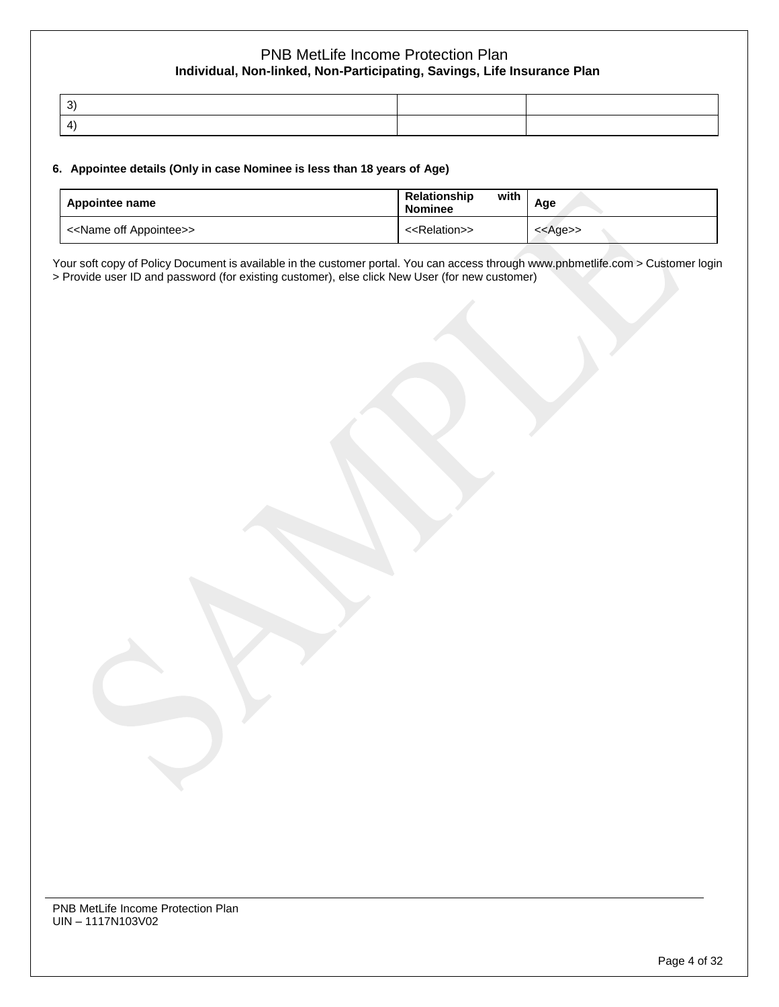| ົດ'                    |  |
|------------------------|--|
| $\vert \Delta \rangle$ |  |

#### **6. Appointee details (Only in case Nominee is less than 18 years of Age)**

| Appointee name                          | with<br><b>Relationship</b><br><b>Nominee</b> | Age               |
|-----------------------------------------|-----------------------------------------------|-------------------|
| < <name appointee="" off="">&gt;</name> | < <relation>&gt;</relation>                   | < <age>&gt;</age> |

Your soft copy of Policy Document is available in the customer portal. You can access through www.pnbmetlife.com > Customer login > Provide user ID and password (for existing customer), else click New User (for new customer)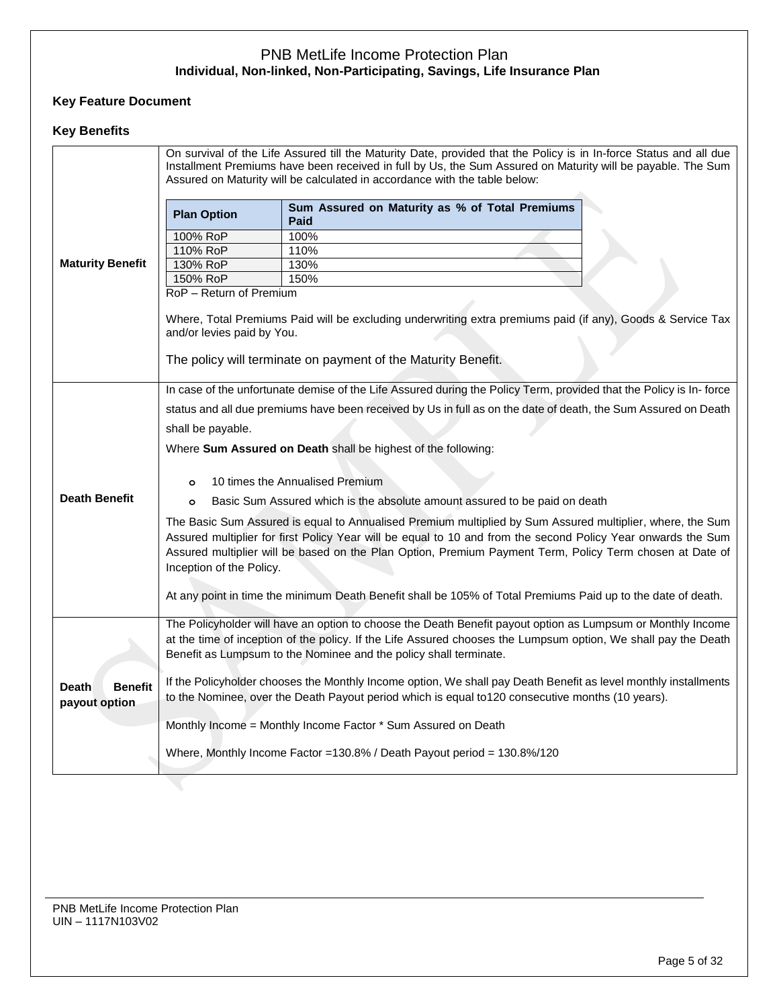# **Key Feature Document**

# **Key Benefits**

|                                                               |                                                                                                                                                                                                                                                                                                                                                                   | On survival of the Life Assured till the Maturity Date, provided that the Policy is in In-force Status and all due<br>Installment Premiums have been received in full by Us, the Sum Assured on Maturity will be payable. The Sum<br>Assured on Maturity will be calculated in accordance with the table below: |  |  |  |
|---------------------------------------------------------------|-------------------------------------------------------------------------------------------------------------------------------------------------------------------------------------------------------------------------------------------------------------------------------------------------------------------------------------------------------------------|-----------------------------------------------------------------------------------------------------------------------------------------------------------------------------------------------------------------------------------------------------------------------------------------------------------------|--|--|--|
|                                                               | <b>Plan Option</b>                                                                                                                                                                                                                                                                                                                                                | Sum Assured on Maturity as % of Total Premiums<br>Paid                                                                                                                                                                                                                                                          |  |  |  |
|                                                               | 100% RoP                                                                                                                                                                                                                                                                                                                                                          | 100%                                                                                                                                                                                                                                                                                                            |  |  |  |
|                                                               | 110% RoP                                                                                                                                                                                                                                                                                                                                                          | 110%                                                                                                                                                                                                                                                                                                            |  |  |  |
| <b>Maturity Benefit</b>                                       | 130% RoP                                                                                                                                                                                                                                                                                                                                                          | 130%                                                                                                                                                                                                                                                                                                            |  |  |  |
|                                                               | 150% RoP                                                                                                                                                                                                                                                                                                                                                          | 150%                                                                                                                                                                                                                                                                                                            |  |  |  |
|                                                               | RoP - Return of Premium                                                                                                                                                                                                                                                                                                                                           |                                                                                                                                                                                                                                                                                                                 |  |  |  |
|                                                               | and/or levies paid by You.                                                                                                                                                                                                                                                                                                                                        | Where, Total Premiums Paid will be excluding underwriting extra premiums paid (if any), Goods & Service Tax                                                                                                                                                                                                     |  |  |  |
|                                                               |                                                                                                                                                                                                                                                                                                                                                                   | The policy will terminate on payment of the Maturity Benefit.                                                                                                                                                                                                                                                   |  |  |  |
|                                                               |                                                                                                                                                                                                                                                                                                                                                                   | In case of the unfortunate demise of the Life Assured during the Policy Term, provided that the Policy is In-force                                                                                                                                                                                              |  |  |  |
|                                                               | status and all due premiums have been received by Us in full as on the date of death, the Sum Assured on Death                                                                                                                                                                                                                                                    |                                                                                                                                                                                                                                                                                                                 |  |  |  |
|                                                               | shall be payable.                                                                                                                                                                                                                                                                                                                                                 |                                                                                                                                                                                                                                                                                                                 |  |  |  |
| Where Sum Assured on Death shall be highest of the following: |                                                                                                                                                                                                                                                                                                                                                                   |                                                                                                                                                                                                                                                                                                                 |  |  |  |
|                                                               |                                                                                                                                                                                                                                                                                                                                                                   |                                                                                                                                                                                                                                                                                                                 |  |  |  |
| 10 times the Annualised Premium<br>$\circ$                    |                                                                                                                                                                                                                                                                                                                                                                   |                                                                                                                                                                                                                                                                                                                 |  |  |  |
|                                                               | <b>Death Benefit</b><br>Basic Sum Assured which is the absolute amount assured to be paid on death<br>$\circ$                                                                                                                                                                                                                                                     |                                                                                                                                                                                                                                                                                                                 |  |  |  |
|                                                               | The Basic Sum Assured is equal to Annualised Premium multiplied by Sum Assured multiplier, where, the Sum<br>Assured multiplier for first Policy Year will be equal to 10 and from the second Policy Year onwards the Sum<br>Assured multiplier will be based on the Plan Option, Premium Payment Term, Policy Term chosen at Date of<br>Inception of the Policy. |                                                                                                                                                                                                                                                                                                                 |  |  |  |
|                                                               |                                                                                                                                                                                                                                                                                                                                                                   | At any point in time the minimum Death Benefit shall be 105% of Total Premiums Paid up to the date of death.                                                                                                                                                                                                    |  |  |  |
|                                                               |                                                                                                                                                                                                                                                                                                                                                                   | The Policyholder will have an option to choose the Death Benefit payout option as Lumpsum or Monthly Income<br>at the time of inception of the policy. If the Life Assured chooses the Lumpsum option, We shall pay the Death                                                                                   |  |  |  |
|                                                               | Benefit as Lumpsum to the Nominee and the policy shall terminate.                                                                                                                                                                                                                                                                                                 |                                                                                                                                                                                                                                                                                                                 |  |  |  |
| <b>Benefit</b><br><b>Death</b><br>payout option               |                                                                                                                                                                                                                                                                                                                                                                   | If the Policyholder chooses the Monthly Income option, We shall pay Death Benefit as level monthly installments<br>to the Nominee, over the Death Payout period which is equal to 120 consecutive months (10 years).                                                                                            |  |  |  |
|                                                               |                                                                                                                                                                                                                                                                                                                                                                   | Monthly Income = Monthly Income Factor * Sum Assured on Death                                                                                                                                                                                                                                                   |  |  |  |
|                                                               |                                                                                                                                                                                                                                                                                                                                                                   | Where, Monthly Income Factor = 130.8% / Death Payout period = 130.8%/120                                                                                                                                                                                                                                        |  |  |  |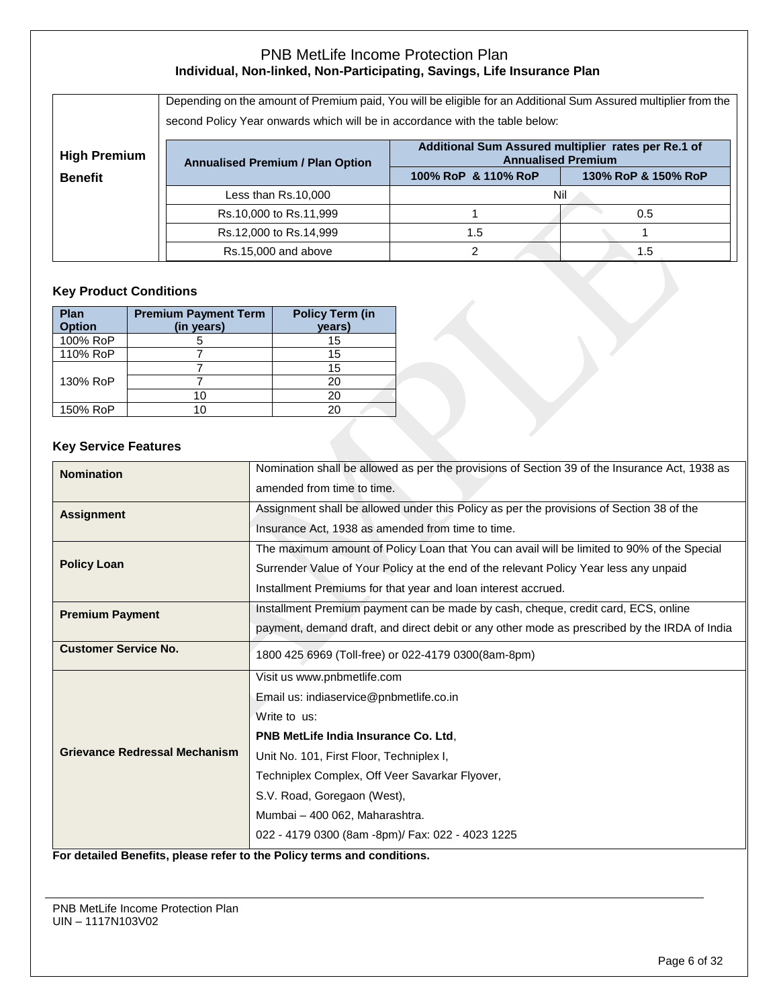|                     | Depending on the amount of Premium paid, You will be eligible for an Additional Sum Assured multiplier from the<br>second Policy Year onwards which will be in accordance with the table below: |                     |                     |  |  |  |  |
|---------------------|-------------------------------------------------------------------------------------------------------------------------------------------------------------------------------------------------|---------------------|---------------------|--|--|--|--|
| <b>High Premium</b> | Additional Sum Assured multiplier rates per Re.1 of<br><b>Annualised Premium</b><br><b>Annualised Premium / Plan Option</b>                                                                     |                     |                     |  |  |  |  |
| <b>Benefit</b>      |                                                                                                                                                                                                 | 100% RoP & 110% RoP | 130% RoP & 150% RoP |  |  |  |  |
|                     | Less than Rs.10,000                                                                                                                                                                             | Nil                 |                     |  |  |  |  |
|                     | Rs.10,000 to Rs.11,999                                                                                                                                                                          |                     | 0.5                 |  |  |  |  |
|                     | Rs.12,000 to Rs.14,999                                                                                                                                                                          | 1.5                 |                     |  |  |  |  |
|                     | Rs.15,000 and above                                                                                                                                                                             | 2                   | 1.5                 |  |  |  |  |

# **Key Product Conditions**

| Plan<br><b>Option</b> | <b>Premium Payment Term</b><br>(in years) | <b>Policy Term (in</b><br>years) |
|-----------------------|-------------------------------------------|----------------------------------|
| 100% RoP              |                                           | 15                               |
| 110% RoP              |                                           | 15                               |
|                       |                                           | 15                               |
| 130% RoP              |                                           | 20                               |
|                       | 10                                        | 20                               |
| 150% RoP              |                                           | 20                               |

### **Key Service Features**

| <b>Nomination</b>                    | Nomination shall be allowed as per the provisions of Section 39 of the Insurance Act, 1938 as |
|--------------------------------------|-----------------------------------------------------------------------------------------------|
|                                      | amended from time to time.                                                                    |
| <b>Assignment</b>                    | Assignment shall be allowed under this Policy as per the provisions of Section 38 of the      |
|                                      | Insurance Act, 1938 as amended from time to time.                                             |
|                                      | The maximum amount of Policy Loan that You can avail will be limited to 90% of the Special    |
| <b>Policy Loan</b>                   | Surrender Value of Your Policy at the end of the relevant Policy Year less any unpaid         |
|                                      | Installment Premiums for that year and loan interest accrued.                                 |
| <b>Premium Payment</b>               | Installment Premium payment can be made by cash, cheque, credit card, ECS, online             |
|                                      | payment, demand draft, and direct debit or any other mode as prescribed by the IRDA of India  |
| <b>Customer Service No.</b>          | 1800 425 6969 (Toll-free) or 022-4179 0300(8am-8pm)                                           |
|                                      | Visit us www.pnbmetlife.com                                                                   |
|                                      | Email us: indiaservice@pnbmetlife.co.in                                                       |
|                                      | Write to us:                                                                                  |
|                                      | PNB MetLife India Insurance Co. Ltd,                                                          |
| <b>Grievance Redressal Mechanism</b> | Unit No. 101, First Floor, Techniplex I,                                                      |
|                                      | Techniplex Complex, Off Veer Savarkar Flyover,                                                |
|                                      | S.V. Road, Goregaon (West),                                                                   |
|                                      | Mumbai - 400 062, Maharashtra.                                                                |
|                                      | 022 - 4179 0300 (8am -8pm)/ Fax: 022 - 4023 1225                                              |

**For detailed Benefits, please refer to the Policy terms and conditions.**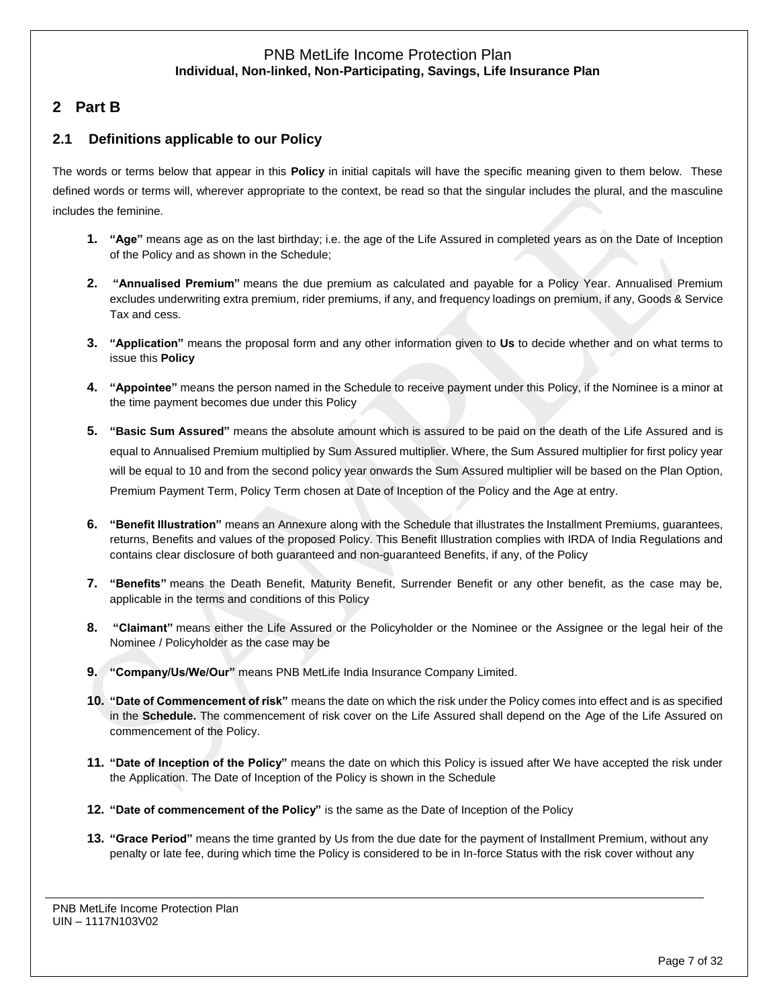# **2 Part B**

# **2.1 Definitions applicable to our Policy**

The words or terms below that appear in this **Policy** in initial capitals will have the specific meaning given to them below. These defined words or terms will, wherever appropriate to the context, be read so that the singular includes the plural, and the masculine includes the feminine.

- **1. "Age"** means age as on the last birthday; i.e. the age of the Life Assured in completed years as on the Date of Inception of the Policy and as shown in the Schedule;
- **2. "Annualised Premium"** means the due premium as calculated and payable for a Policy Year. Annualised Premium excludes underwriting extra premium, rider premiums, if any, and frequency loadings on premium, if any, Goods & Service Tax and cess.
- **3. "Application"** means the proposal form and any other information given to **Us** to decide whether and on what terms to issue this **Policy**
- **4. "Appointee"** means the person named in the Schedule to receive payment under this Policy, if the Nominee is a minor at the time payment becomes due under this Policy
- **5. "Basic Sum Assured"** means the absolute amount which is assured to be paid on the death of the Life Assured and is equal to Annualised Premium multiplied by Sum Assured multiplier. Where, the Sum Assured multiplier for first policy year will be equal to 10 and from the second policy year onwards the Sum Assured multiplier will be based on the Plan Option, Premium Payment Term, Policy Term chosen at Date of Inception of the Policy and the Age at entry.
- **6. "Benefit Illustration"** means an Annexure along with the Schedule that illustrates the Installment Premiums, guarantees, returns, Benefits and values of the proposed Policy. This Benefit Illustration complies with IRDA of India Regulations and contains clear disclosure of both guaranteed and non-guaranteed Benefits, if any, of the Policy
- **7. "Benefits"** means the Death Benefit, Maturity Benefit, Surrender Benefit or any other benefit, as the case may be, applicable in the terms and conditions of this Policy
- **8. "Claimant"** means either the Life Assured or the Policyholder or the Nominee or the Assignee or the legal heir of the Nominee / Policyholder as the case may be
- **9. "Company/Us/We/Our"** means PNB MetLife India Insurance Company Limited.
- **10. "Date of Commencement of risk"** means the date on which the risk under the Policy comes into effect and is as specified in the **Schedule.** The commencement of risk cover on the Life Assured shall depend on the Age of the Life Assured on commencement of the Policy.
- **11. "Date of Inception of the Policy"** means the date on which this Policy is issued after We have accepted the risk under the Application. The Date of Inception of the Policy is shown in the Schedule
- **12. "Date of commencement of the Policy"** is the same as the Date of Inception of the Policy
- **13. "Grace Period"** means the time granted by Us from the due date for the payment of Installment Premium, without any penalty or late fee, during which time the Policy is considered to be in In-force Status with the risk cover without any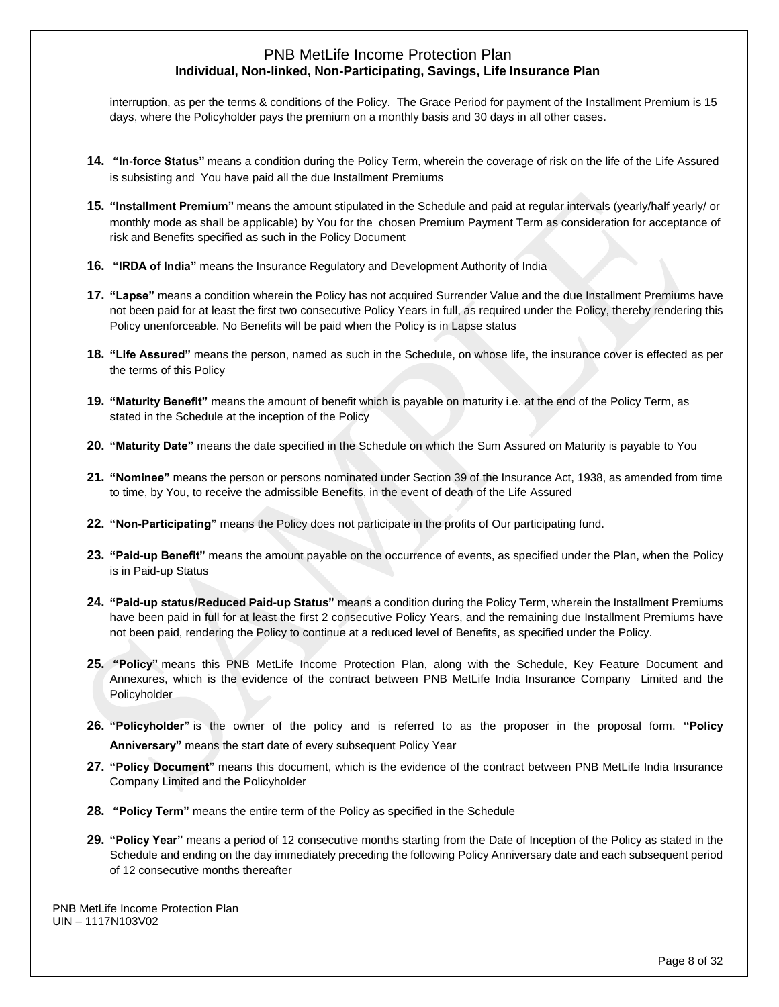interruption, as per the terms & conditions of the Policy. The Grace Period for payment of the Installment Premium is 15 days, where the Policyholder pays the premium on a monthly basis and 30 days in all other cases.

- **14. "In-force Status"** means a condition during the Policy Term, wherein the coverage of risk on the life of the Life Assured is subsisting and You have paid all the due Installment Premiums
- **15. "Installment Premium"** means the amount stipulated in the Schedule and paid at regular intervals (yearly/half yearly/ or monthly mode as shall be applicable) by You for the chosen Premium Payment Term as consideration for acceptance of risk and Benefits specified as such in the Policy Document
- **16. "IRDA of India"** means the Insurance Regulatory and Development Authority of India
- **17. "Lapse"** means a condition wherein the Policy has not acquired Surrender Value and the due Installment Premiums have not been paid for at least the first two consecutive Policy Years in full, as required under the Policy, thereby rendering this Policy unenforceable. No Benefits will be paid when the Policy is in Lapse status
- **18. "Life Assured"** means the person, named as such in the Schedule, on whose life, the insurance cover is effected as per the terms of this Policy
- **19. "Maturity Benefit"** means the amount of benefit which is payable on maturity i.e. at the end of the Policy Term, as stated in the Schedule at the inception of the Policy
- **20. "Maturity Date"** means the date specified in the Schedule on which the Sum Assured on Maturity is payable to You
- **21. "Nominee"** means the person or persons nominated under Section 39 of the Insurance Act, 1938, as amended from time to time, by You, to receive the admissible Benefits, in the event of death of the Life Assured
- **22. "Non-Participating"** means the Policy does not participate in the profits of Our participating fund.
- **23. "Paid-up Benefit"** means the amount payable on the occurrence of events, as specified under the Plan, when the Policy is in Paid-up Status
- **24. "Paid-up status/Reduced Paid-up Status"** means a condition during the Policy Term, wherein the Installment Premiums have been paid in full for at least the first 2 consecutive Policy Years, and the remaining due Installment Premiums have not been paid, rendering the Policy to continue at a reduced level of Benefits, as specified under the Policy.
- **25. "Policy"** means this PNB MetLife Income Protection Plan, along with the Schedule, Key Feature Document and Annexures, which is the evidence of the contract between PNB MetLife India Insurance Company Limited and the Policyholder
- **26. "Policyholder"** is the owner of the policy and is referred to as the proposer in the proposal form. **"Policy Anniversary"** means the start date of every subsequent Policy Year
- **27. "Policy Document"** means this document, which is the evidence of the contract between PNB MetLife India Insurance Company Limited and the Policyholder
- **28. "Policy Term"** means the entire term of the Policy as specified in the Schedule
- **29. "Policy Year"** means a period of 12 consecutive months starting from the Date of Inception of the Policy as stated in the Schedule and ending on the day immediately preceding the following Policy Anniversary date and each subsequent period of 12 consecutive months thereafter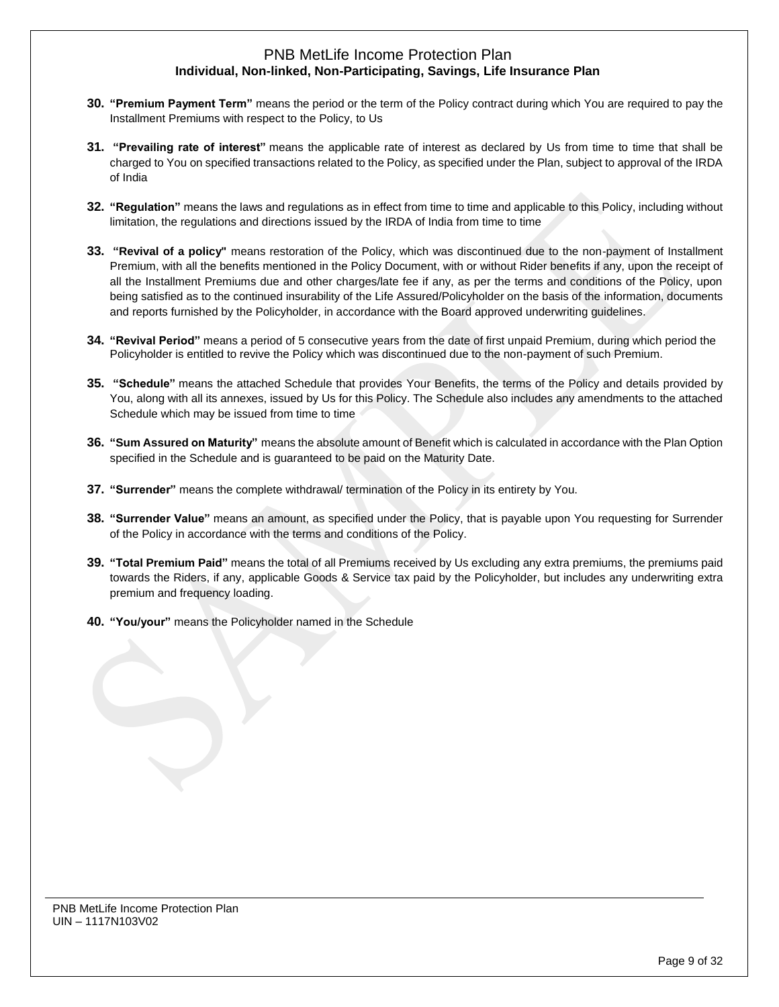- **30. "Premium Payment Term"** means the period or the term of the Policy contract during which You are required to pay the Installment Premiums with respect to the Policy, to Us
- **31. "Prevailing rate of interest"** means the applicable rate of interest as declared by Us from time to time that shall be charged to You on specified transactions related to the Policy, as specified under the Plan, subject to approval of the IRDA of India
- **32. "Regulation"** means the laws and regulations as in effect from time to time and applicable to this Policy, including without limitation, the regulations and directions issued by the IRDA of India from time to time
- **33. "Revival of a policy"** means restoration of the Policy, which was discontinued due to the non-payment of Installment Premium, with all the benefits mentioned in the Policy Document, with or without Rider benefits if any, upon the receipt of all the Installment Premiums due and other charges/late fee if any, as per the terms and conditions of the Policy, upon being satisfied as to the continued insurability of the Life Assured/Policyholder on the basis of the information, documents and reports furnished by the Policyholder, in accordance with the Board approved underwriting guidelines.
- **34. "Revival Period"** means a period of 5 consecutive years from the date of first unpaid Premium, during which period the Policyholder is entitled to revive the Policy which was discontinued due to the non-payment of such Premium.
- **35. "Schedule"** means the attached Schedule that provides Your Benefits, the terms of the Policy and details provided by You, along with all its annexes, issued by Us for this Policy. The Schedule also includes any amendments to the attached Schedule which may be issued from time to time
- **36. "Sum Assured on Maturity"** means the absolute amount of Benefit which is calculated in accordance with the Plan Option specified in the Schedule and is guaranteed to be paid on the Maturity Date.
- **37. "Surrender"** means the complete withdrawal/ termination of the Policy in its entirety by You.
- **38. "Surrender Value"** means an amount, as specified under the Policy, that is payable upon You requesting for Surrender of the Policy in accordance with the terms and conditions of the Policy.
- **39. "Total Premium Paid"** means the total of all Premiums received by Us excluding any extra premiums, the premiums paid towards the Riders, if any, applicable Goods & Service tax paid by the Policyholder, but includes any underwriting extra premium and frequency loading.
- **40. "You/your"** means the Policyholder named in the Schedule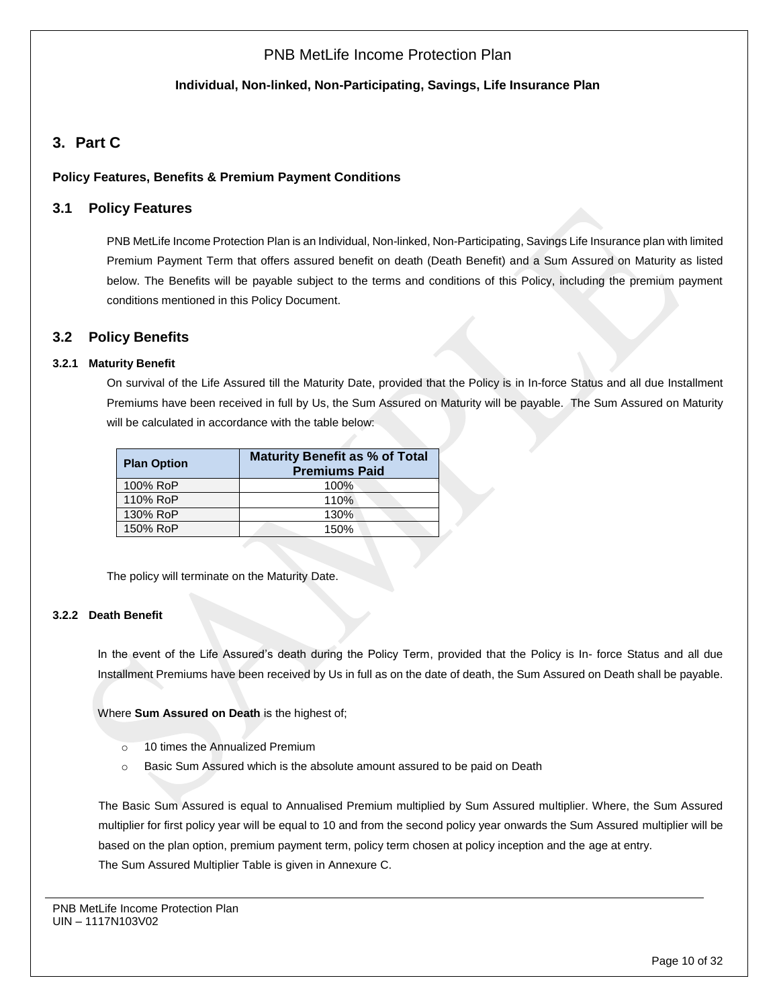### **Individual, Non-linked, Non-Participating, Savings, Life Insurance Plan**

# **3. Part C**

### **Policy Features, Benefits & Premium Payment Conditions**

### **3.1 Policy Features**

PNB MetLife Income Protection Plan is an Individual, Non-linked, Non-Participating, Savings Life Insurance plan with limited Premium Payment Term that offers assured benefit on death (Death Benefit) and a Sum Assured on Maturity as listed below. The Benefits will be payable subject to the terms and conditions of this Policy, including the premium payment conditions mentioned in this Policy Document.

### **3.2 Policy Benefits**

### **3.2.1 Maturity Benefit**

On survival of the Life Assured till the Maturity Date, provided that the Policy is in In-force Status and all due Installment Premiums have been received in full by Us, the Sum Assured on Maturity will be payable. The Sum Assured on Maturity will be calculated in accordance with the table below:

| <b>Plan Option</b> | <b>Maturity Benefit as % of Total</b><br><b>Premiums Paid</b> |
|--------------------|---------------------------------------------------------------|
| 100% RoP           | 100%                                                          |
| 110% RoP           | 110%                                                          |
| 130% RoP           | 130%                                                          |
| 150% RoP           | 150%                                                          |

The policy will terminate on the Maturity Date.

#### **3.2.2 Death Benefit**

In the event of the Life Assured's death during the Policy Term, provided that the Policy is In- force Status and all due Installment Premiums have been received by Us in full as on the date of death, the Sum Assured on Death shall be payable.

Where **Sum Assured on Death** is the highest of;

- o 10 times the Annualized Premium
- o Basic Sum Assured which is the absolute amount assured to be paid on Death

The Basic Sum Assured is equal to Annualised Premium multiplied by Sum Assured multiplier. Where, the Sum Assured multiplier for first policy year will be equal to 10 and from the second policy year onwards the Sum Assured multiplier will be based on the plan option, premium payment term, policy term chosen at policy inception and the age at entry. The Sum Assured Multiplier Table is given in Annexure C.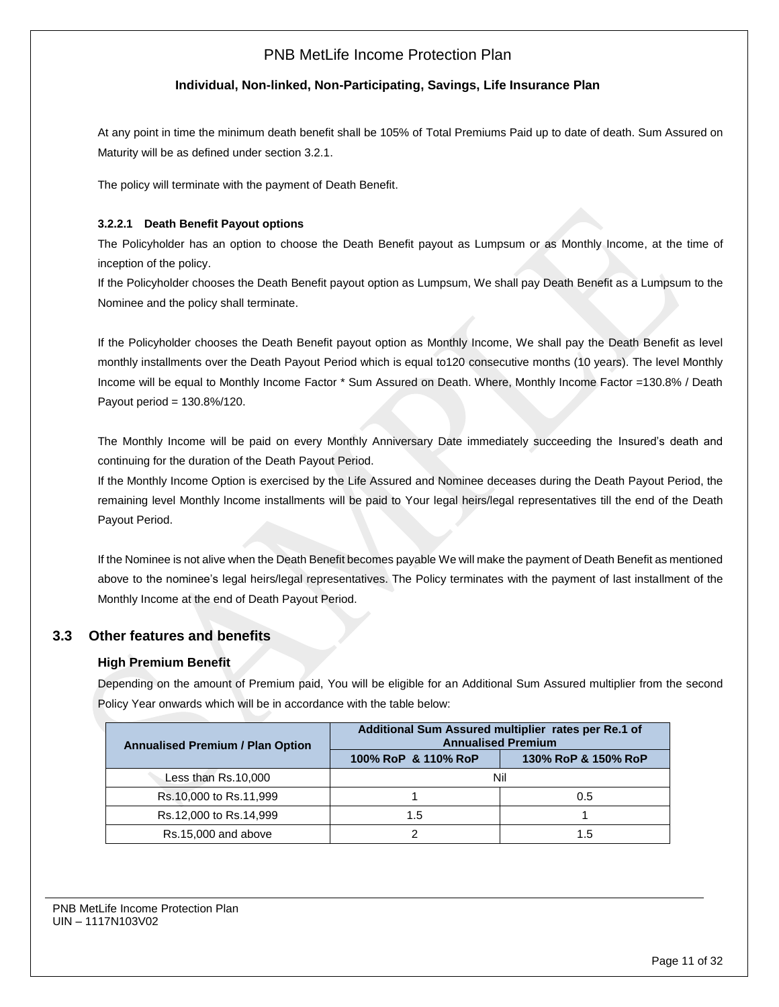### **Individual, Non-linked, Non-Participating, Savings, Life Insurance Plan**

At any point in time the minimum death benefit shall be 105% of Total Premiums Paid up to date of death. Sum Assured on Maturity will be as defined under section 3.2.1.

The policy will terminate with the payment of Death Benefit.

### **3.2.2.1 Death Benefit Payout options**

The Policyholder has an option to choose the Death Benefit payout as Lumpsum or as Monthly Income, at the time of inception of the policy.

If the Policyholder chooses the Death Benefit payout option as Lumpsum, We shall pay Death Benefit as a Lumpsum to the Nominee and the policy shall terminate.

If the Policyholder chooses the Death Benefit payout option as Monthly Income, We shall pay the Death Benefit as level monthly installments over the Death Payout Period which is equal to120 consecutive months (10 years). The level Monthly Income will be equal to Monthly Income Factor \* Sum Assured on Death. Where, Monthly Income Factor =130.8% / Death Payout period = 130.8%/120.

The Monthly Income will be paid on every Monthly Anniversary Date immediately succeeding the Insured's death and continuing for the duration of the Death Payout Period.

If the Monthly Income Option is exercised by the Life Assured and Nominee deceases during the Death Payout Period, the remaining level Monthly lncome installments will be paid to Your legal heirs/legal representatives till the end of the Death Payout Period.

If the Nominee is not alive when the Death Benefit becomes payable We will make the payment of Death Benefit as mentioned above to the nominee's legal heirs/legal representatives. The Policy terminates with the payment of last installment of the Monthly Income at the end of Death Payout Period.

### **3.3 Other features and benefits**

### **High Premium Benefit**

Depending on the amount of Premium paid, You will be eligible for an Additional Sum Assured multiplier from the second Policy Year onwards which will be in accordance with the table below:

| <b>Annualised Premium / Plan Option</b> | Additional Sum Assured multiplier rates per Re.1 of<br><b>Annualised Premium</b> |                     |  |  |
|-----------------------------------------|----------------------------------------------------------------------------------|---------------------|--|--|
|                                         | 100% RoP & 110% RoP                                                              | 130% RoP & 150% RoP |  |  |
| Less than Rs.10,000                     | Nil                                                                              |                     |  |  |
| Rs.10,000 to Rs.11,999                  |                                                                                  | 0.5                 |  |  |
| Rs.12,000 to Rs.14,999                  | 1.5                                                                              |                     |  |  |
| Rs.15,000 and above                     |                                                                                  | 1.5                 |  |  |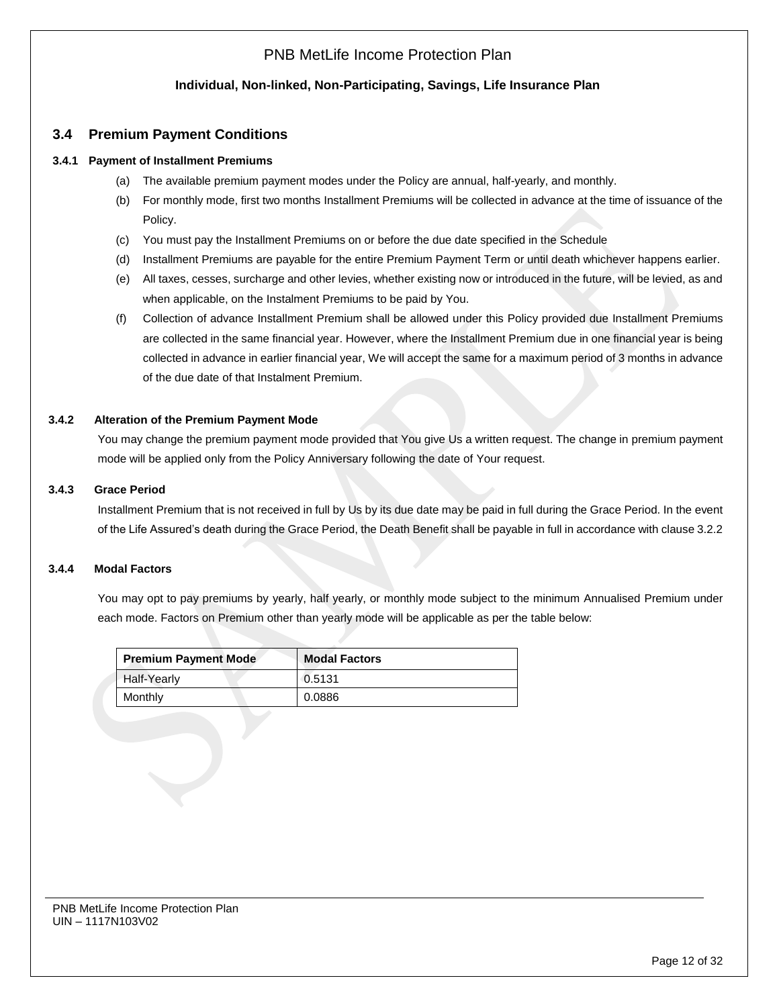### **Individual, Non-linked, Non-Participating, Savings, Life Insurance Plan**

## **3.4 Premium Payment Conditions**

#### **3.4.1 Payment of Installment Premiums**

- (a) The available premium payment modes under the Policy are annual, half-yearly, and monthly.
- (b) For monthly mode, first two months Installment Premiums will be collected in advance at the time of issuance of the Policy.
- (c) You must pay the Installment Premiums on or before the due date specified in the Schedule
- (d) Installment Premiums are payable for the entire Premium Payment Term or until death whichever happens earlier.
- (e) All taxes, cesses, surcharge and other levies, whether existing now or introduced in the future, will be levied, as and when applicable, on the Instalment Premiums to be paid by You.
- (f) Collection of advance Installment Premium shall be allowed under this Policy provided due Installment Premiums are collected in the same financial year. However, where the Installment Premium due in one financial year is being collected in advance in earlier financial year, We will accept the same for a maximum period of 3 months in advance of the due date of that Instalment Premium.

#### **3.4.2 Alteration of the Premium Payment Mode**

You may change the premium payment mode provided that You give Us a written request. The change in premium payment mode will be applied only from the Policy Anniversary following the date of Your request.

#### **3.4.3 Grace Period**

Installment Premium that is not received in full by Us by its due date may be paid in full during the Grace Period. In the event of the Life Assured's death during the Grace Period, the Death Benefit shall be payable in full in accordance with clause 3.2.2

#### **3.4.4 Modal Factors**

You may opt to pay premiums by yearly, half yearly, or monthly mode subject to the minimum Annualised Premium under each mode. Factors on Premium other than yearly mode will be applicable as per the table below:

| <b>Premium Payment Mode</b> | <b>Modal Factors</b> |
|-----------------------------|----------------------|
| <b>Half-Yearly</b>          | 0.5131               |
| Monthly                     | 0.0886               |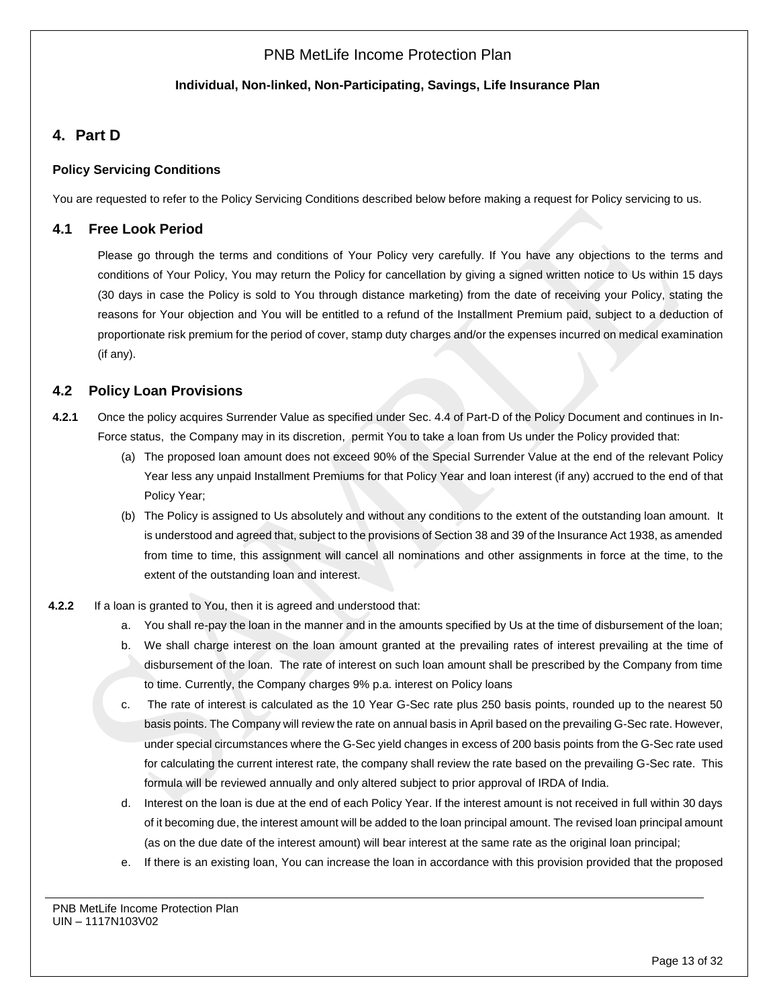## **Individual, Non-linked, Non-Participating, Savings, Life Insurance Plan**

# **4. Part D**

## **Policy Servicing Conditions**

You are requested to refer to the Policy Servicing Conditions described below before making a request for Policy servicing to us.

# **4.1 Free Look Period**

Please go through the terms and conditions of Your Policy very carefully. If You have any objections to the terms and conditions of Your Policy, You may return the Policy for cancellation by giving a signed written notice to Us within 15 days (30 days in case the Policy is sold to You through distance marketing) from the date of receiving your Policy, stating the reasons for Your objection and You will be entitled to a refund of the Installment Premium paid, subject to a deduction of proportionate risk premium for the period of cover, stamp duty charges and/or the expenses incurred on medical examination (if any).

# **4.2 Policy Loan Provisions**

- **4.2.1** Once the policy acquires Surrender Value as specified under Sec. 4.4 of Part-D of the Policy Document and continues in In-Force status, the Company may in its discretion, permit You to take a loan from Us under the Policy provided that:
	- (a) The proposed loan amount does not exceed 90% of the Special Surrender Value at the end of the relevant Policy Year less any unpaid Installment Premiums for that Policy Year and loan interest (if any) accrued to the end of that Policy Year;
	- (b) The Policy is assigned to Us absolutely and without any conditions to the extent of the outstanding loan amount. It is understood and agreed that, subject to the provisions of Section 38 and 39 of the Insurance Act 1938, as amended from time to time, this assignment will cancel all nominations and other assignments in force at the time, to the extent of the outstanding loan and interest.
- **4.2.2** If a loan is granted to You, then it is agreed and understood that:
	- a. You shall re-pay the loan in the manner and in the amounts specified by Us at the time of disbursement of the loan;
	- b. We shall charge interest on the loan amount granted at the prevailing rates of interest prevailing at the time of disbursement of the loan. The rate of interest on such loan amount shall be prescribed by the Company from time to time. Currently, the Company charges 9% p.a. interest on Policy loans
	- c. The rate of interest is calculated as the 10 Year G-Sec rate plus 250 basis points, rounded up to the nearest 50 basis points. The Company will review the rate on annual basis in April based on the prevailing G-Sec rate. However, under special circumstances where the G-Sec yield changes in excess of 200 basis points from the G-Sec rate used for calculating the current interest rate, the company shall review the rate based on the prevailing G-Sec rate. This formula will be reviewed annually and only altered subject to prior approval of IRDA of India.
	- d. Interest on the loan is due at the end of each Policy Year. If the interest amount is not received in full within 30 days of it becoming due, the interest amount will be added to the loan principal amount. The revised loan principal amount (as on the due date of the interest amount) will bear interest at the same rate as the original loan principal;
	- e. If there is an existing loan, You can increase the loan in accordance with this provision provided that the proposed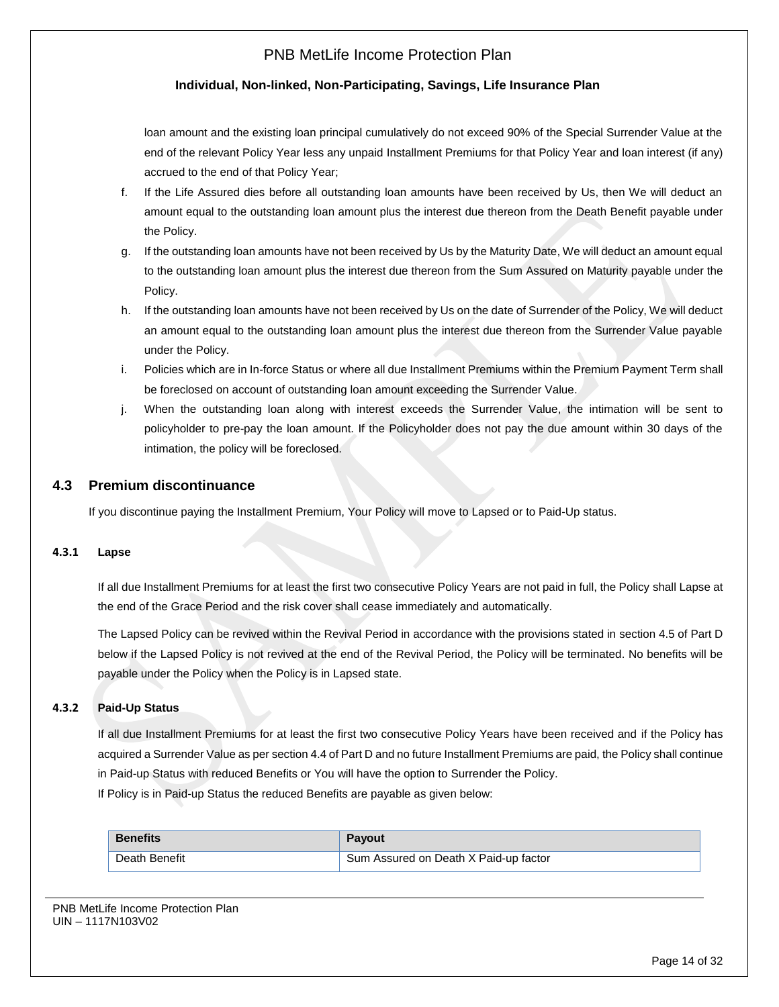### **Individual, Non-linked, Non-Participating, Savings, Life Insurance Plan**

loan amount and the existing loan principal cumulatively do not exceed 90% of the Special Surrender Value at the end of the relevant Policy Year less any unpaid Installment Premiums for that Policy Year and loan interest (if any) accrued to the end of that Policy Year;

- f. If the Life Assured dies before all outstanding loan amounts have been received by Us, then We will deduct an amount equal to the outstanding loan amount plus the interest due thereon from the Death Benefit payable under the Policy.
- g. If the outstanding loan amounts have not been received by Us by the Maturity Date, We will deduct an amount equal to the outstanding loan amount plus the interest due thereon from the Sum Assured on Maturity payable under the Policy.
- h. If the outstanding loan amounts have not been received by Us on the date of Surrender of the Policy, We will deduct an amount equal to the outstanding loan amount plus the interest due thereon from the Surrender Value payable under the Policy.
- i. Policies which are in In-force Status or where all due Installment Premiums within the Premium Payment Term shall be foreclosed on account of outstanding loan amount exceeding the Surrender Value.
- j. When the outstanding loan along with interest exceeds the Surrender Value, the intimation will be sent to policyholder to pre-pay the loan amount. If the Policyholder does not pay the due amount within 30 days of the intimation, the policy will be foreclosed.

### **4.3 Premium discontinuance**

If you discontinue paying the Installment Premium, Your Policy will move to Lapsed or to Paid-Up status.

### **4.3.1 Lapse**

If all due Installment Premiums for at least the first two consecutive Policy Years are not paid in full, the Policy shall Lapse at the end of the Grace Period and the risk cover shall cease immediately and automatically.

The Lapsed Policy can be revived within the Revival Period in accordance with the provisions stated in section 4.5 of Part D below if the Lapsed Policy is not revived at the end of the Revival Period, the Policy will be terminated. No benefits will be payable under the Policy when the Policy is in Lapsed state.

#### **4.3.2 Paid-Up Status**

If all due Installment Premiums for at least the first two consecutive Policy Years have been received and if the Policy has acquired a Surrender Value as per section 4.4 of Part D and no future Installment Premiums are paid, the Policy shall continue in Paid-up Status with reduced Benefits or You will have the option to Surrender the Policy. If Policy is in Paid-up Status the reduced Benefits are payable as given below:

| <b>Benefits</b> | <b>Payout</b>                         |
|-----------------|---------------------------------------|
| Death Benefit   | Sum Assured on Death X Paid-up factor |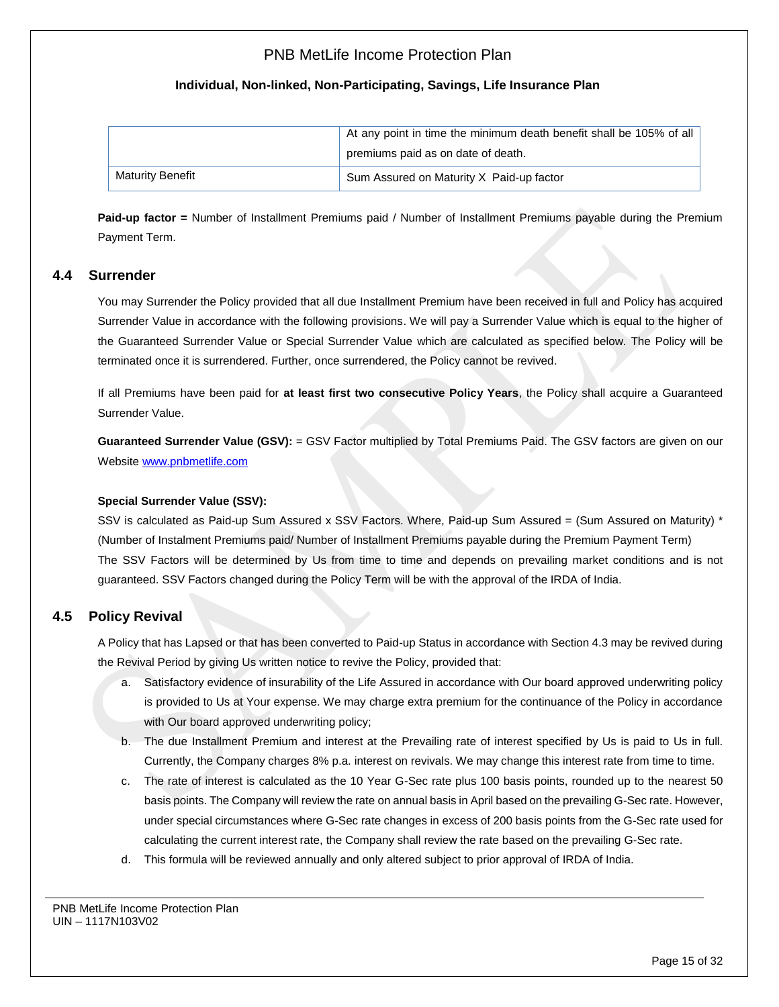### **Individual, Non-linked, Non-Participating, Savings, Life Insurance Plan**

|                  | At any point in time the minimum death benefit shall be 105% of all |
|------------------|---------------------------------------------------------------------|
|                  | premiums paid as on date of death.                                  |
| Maturity Benefit | Sum Assured on Maturity X Paid-up factor                            |

**Paid-up factor =** Number of Installment Premiums paid / Number of Installment Premiums payable during the Premium Payment Term.

### **4.4 Surrender**

You may Surrender the Policy provided that all due Installment Premium have been received in full and Policy has acquired Surrender Value in accordance with the following provisions. We will pay a Surrender Value which is equal to the higher of the Guaranteed Surrender Value or Special Surrender Value which are calculated as specified below. The Policy will be terminated once it is surrendered. Further, once surrendered, the Policy cannot be revived.

If all Premiums have been paid for **at least first two consecutive Policy Years**, the Policy shall acquire a Guaranteed Surrender Value.

**Guaranteed Surrender Value (GSV):** = GSV Factor multiplied by Total Premiums Paid. The GSV factors are given on our Website [www.pnbmetlife.com](http://www.pnbmetlife.com/)

#### **Special Surrender Value (SSV):**

SSV is calculated as Paid-up Sum Assured x SSV Factors. Where, Paid-up Sum Assured = (Sum Assured on Maturity) \* (Number of Instalment Premiums paid/ Number of Installment Premiums payable during the Premium Payment Term) The SSV Factors will be determined by Us from time to time and depends on prevailing market conditions and is not guaranteed. SSV Factors changed during the Policy Term will be with the approval of the IRDA of India.

# **4.5 Policy Revival**

A Policy that has Lapsed or that has been converted to Paid-up Status in accordance with Section 4.3 may be revived during the Revival Period by giving Us written notice to revive the Policy, provided that:

- a. Satisfactory evidence of insurability of the Life Assured in accordance with Our board approved underwriting policy is provided to Us at Your expense. We may charge extra premium for the continuance of the Policy in accordance with Our board approved underwriting policy;
- b. The due Installment Premium and interest at the Prevailing rate of interest specified by Us is paid to Us in full. Currently, the Company charges 8% p.a. interest on revivals. We may change this interest rate from time to time.
- c. The rate of interest is calculated as the 10 Year G-Sec rate plus 100 basis points, rounded up to the nearest 50 basis points. The Company will review the rate on annual basis in April based on the prevailing G-Sec rate. However, under special circumstances where G-Sec rate changes in excess of 200 basis points from the G-Sec rate used for calculating the current interest rate, the Company shall review the rate based on the prevailing G-Sec rate.
- d. This formula will be reviewed annually and only altered subject to prior approval of IRDA of India.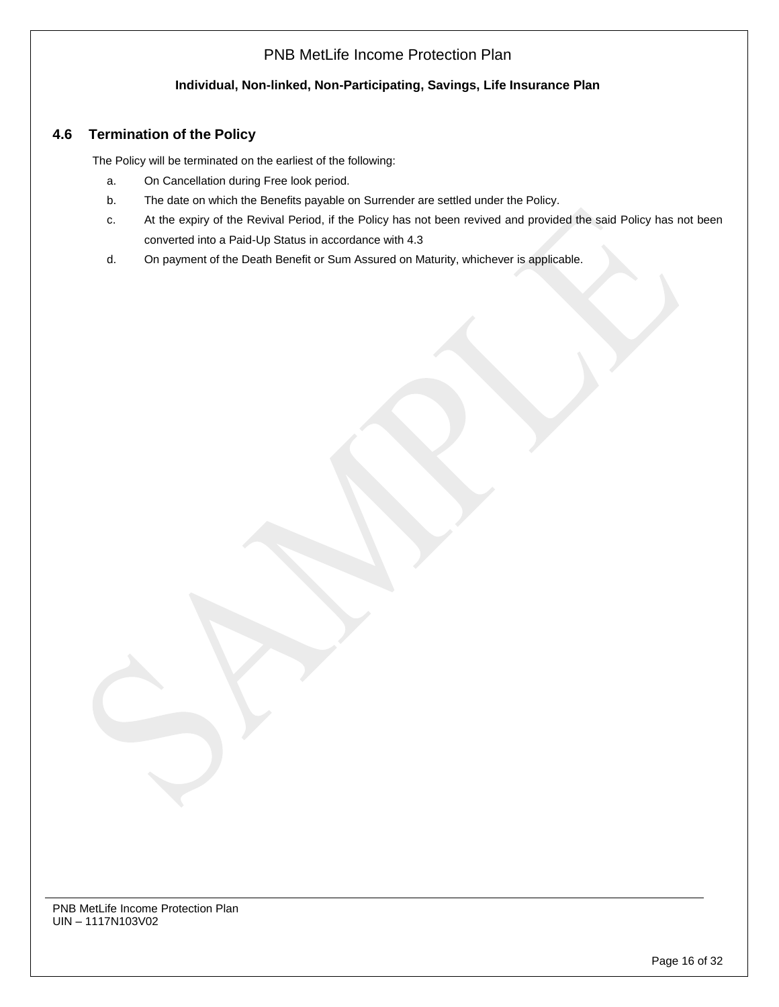## **Individual, Non-linked, Non-Participating, Savings, Life Insurance Plan**

# **4.6 Termination of the Policy**

The Policy will be terminated on the earliest of the following:

- a. On Cancellation during Free look period.
- b. The date on which the Benefits payable on Surrender are settled under the Policy.
- c. At the expiry of the Revival Period, if the Policy has not been revived and provided the said Policy has not been converted into a Paid-Up Status in accordance with 4.3
- d. On payment of the Death Benefit or Sum Assured on Maturity, whichever is applicable.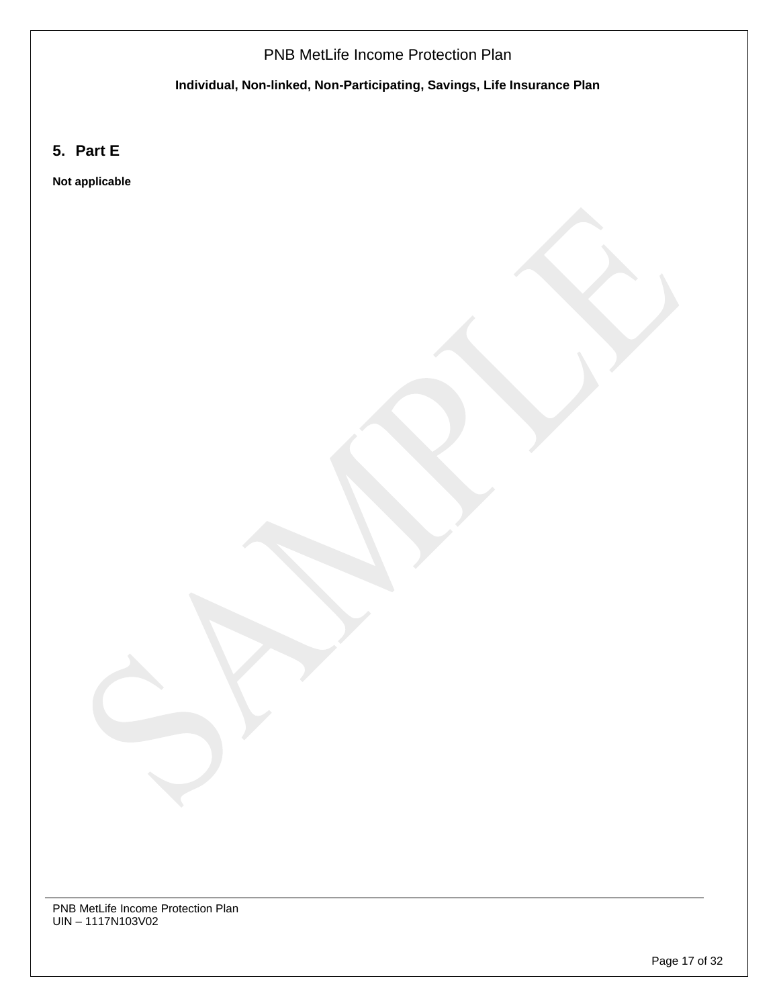**Individual, Non-linked, Non-Participating, Savings, Life Insurance Plan**

**5. Part E**

**Not applicable**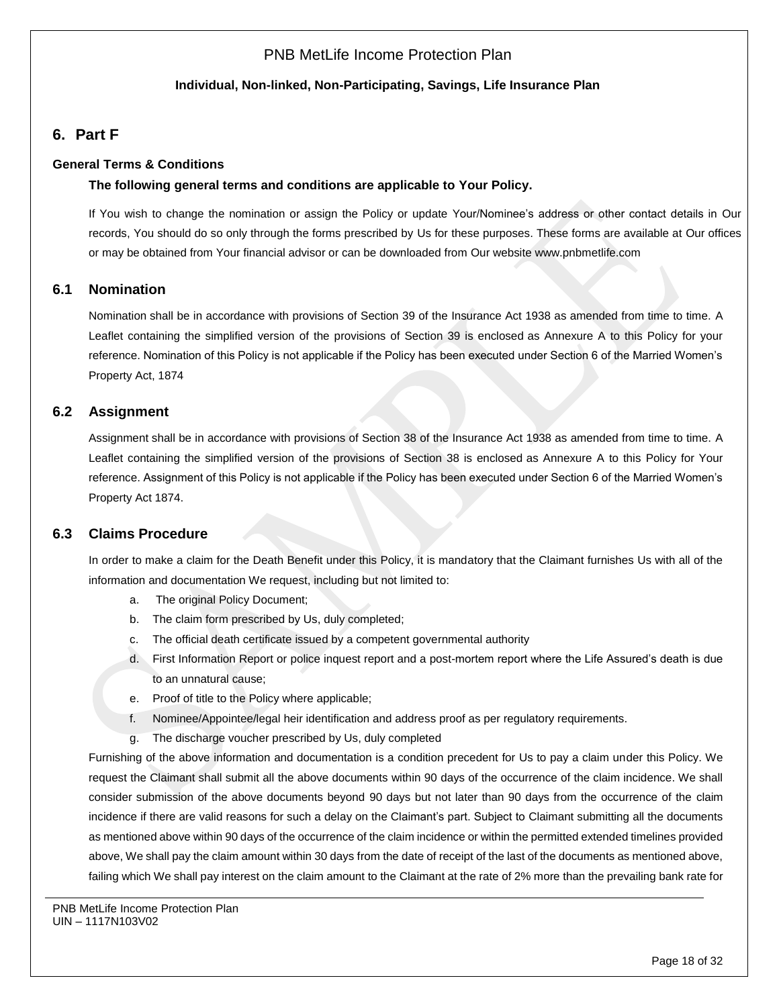### **Individual, Non-linked, Non-Participating, Savings, Life Insurance Plan**

# **6. Part F**

#### **General Terms & Conditions**

#### **The following general terms and conditions are applicable to Your Policy.**

If You wish to change the nomination or assign the Policy or update Your/Nominee's address or other contact details in Our records, You should do so only through the forms prescribed by Us for these purposes. These forms are available at Our offices or may be obtained from Your financial advisor or can be downloaded from Our websit[e www.pnbmetlife.com](http://www.pnbmetlife.com/)

#### **6.1 Nomination**

Nomination shall be in accordance with provisions of Section 39 of the Insurance Act 1938 as amended from time to time. A Leaflet containing the simplified version of the provisions of Section 39 is enclosed as Annexure A to this Policy for your reference. Nomination of this Policy is not applicable if the Policy has been executed under Section 6 of the Married Women's Property Act, 1874

### **6.2 Assignment**

Assignment shall be in accordance with provisions of Section 38 of the Insurance Act 1938 as amended from time to time. A Leaflet containing the simplified version of the provisions of Section 38 is enclosed as Annexure A to this Policy for Your reference. Assignment of this Policy is not applicable if the Policy has been executed under Section 6 of the Married Women's Property Act 1874.

### **6.3 Claims Procedure**

In order to make a claim for the Death Benefit under this Policy, it is mandatory that the Claimant furnishes Us with all of the information and documentation We request, including but not limited to:

- a. The original Policy Document;
- b. The claim form prescribed by Us, duly completed;
- c. The official death certificate issued by a competent governmental authority
- d. First Information Report or police inquest report and a post-mortem report where the Life Assured's death is due to an unnatural cause;
- e. Proof of title to the Policy where applicable;
- f. Nominee/Appointee/legal heir identification and address proof as per regulatory requirements.
- g. The discharge voucher prescribed by Us, duly completed

Furnishing of the above information and documentation is a condition precedent for Us to pay a claim under this Policy. We request the Claimant shall submit all the above documents within 90 days of the occurrence of the claim incidence. We shall consider submission of the above documents beyond 90 days but not later than 90 days from the occurrence of the claim incidence if there are valid reasons for such a delay on the Claimant's part. Subject to Claimant submitting all the documents as mentioned above within 90 days of the occurrence of the claim incidence or within the permitted extended timelines provided above, We shall pay the claim amount within 30 days from the date of receipt of the last of the documents as mentioned above, failing which We shall pay interest on the claim amount to the Claimant at the rate of 2% more than the prevailing bank rate for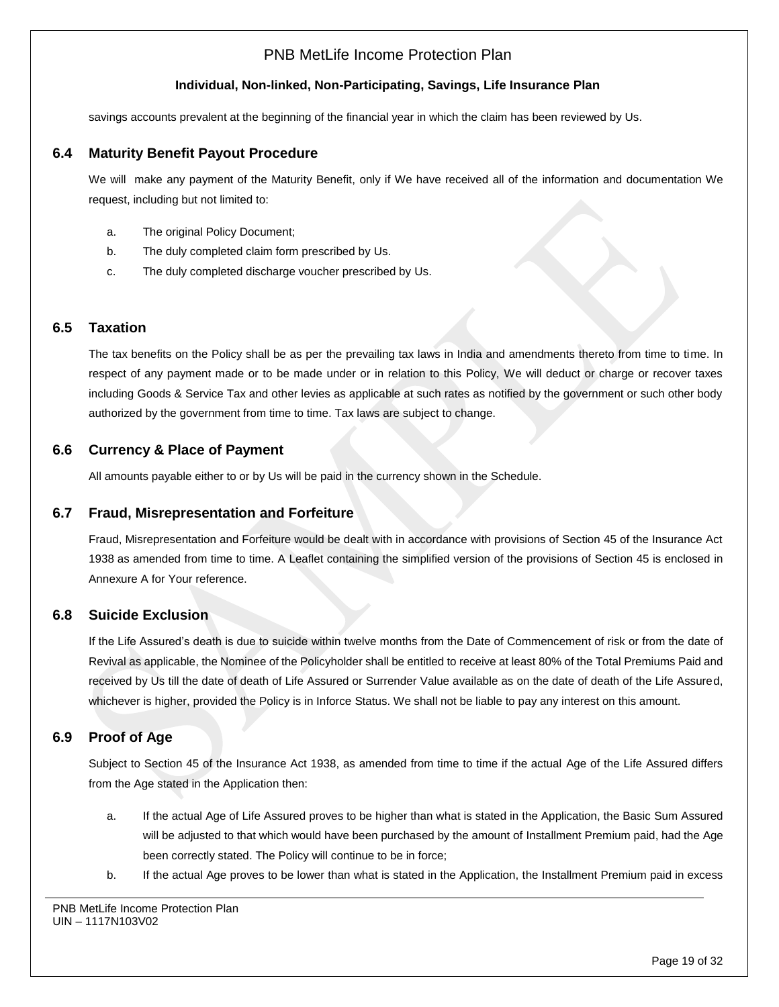### **Individual, Non-linked, Non-Participating, Savings, Life Insurance Plan**

savings accounts prevalent at the beginning of the financial year in which the claim has been reviewed by Us.

### **6.4 Maturity Benefit Payout Procedure**

We will make any payment of the Maturity Benefit, only if We have received all of the information and documentation We request, including but not limited to:

- a. The original Policy Document;
- b. The duly completed claim form prescribed by Us.
- c. The duly completed discharge voucher prescribed by Us.

### **6.5 Taxation**

The tax benefits on the Policy shall be as per the prevailing tax laws in India and amendments thereto from time to time. In respect of any payment made or to be made under or in relation to this Policy, We will deduct or charge or recover taxes including Goods & Service Tax and other levies as applicable at such rates as notified by the government or such other body authorized by the government from time to time. Tax laws are subject to change.

### **6.6 Currency & Place of Payment**

All amounts payable either to or by Us will be paid in the currency shown in the Schedule.

### **6.7 Fraud, Misrepresentation and Forfeiture**

Fraud, Misrepresentation and Forfeiture would be dealt with in accordance with provisions of Section 45 of the Insurance Act 1938 as amended from time to time. A Leaflet containing the simplified version of the provisions of Section 45 is enclosed in Annexure A for Your reference.

## **6.8 Suicide Exclusion**

If the Life Assured's death is due to suicide within twelve months from the Date of Commencement of risk or from the date of Revival as applicable, the Nominee of the Policyholder shall be entitled to receive at least 80% of the Total Premiums Paid and received by Us till the date of death of Life Assured or Surrender Value available as on the date of death of the Life Assured, whichever is higher, provided the Policy is in Inforce Status. We shall not be liable to pay any interest on this amount.

### **6.9 Proof of Age**

Subject to Section 45 of the Insurance Act 1938, as amended from time to time if the actual Age of the Life Assured differs from the Age stated in the Application then:

- a. If the actual Age of Life Assured proves to be higher than what is stated in the Application, the Basic Sum Assured will be adjusted to that which would have been purchased by the amount of Installment Premium paid, had the Age been correctly stated. The Policy will continue to be in force;
- b. If the actual Age proves to be lower than what is stated in the Application, the Installment Premium paid in excess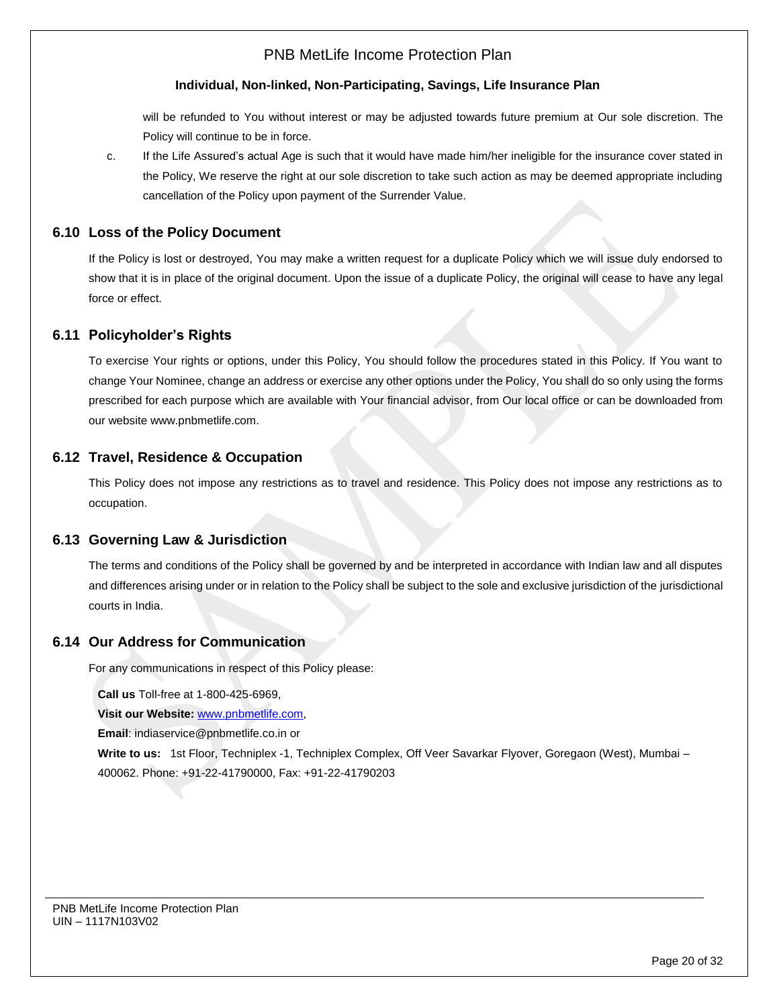### **Individual, Non-linked, Non-Participating, Savings, Life Insurance Plan**

will be refunded to You without interest or may be adjusted towards future premium at Our sole discretion. The Policy will continue to be in force.

c. If the Life Assured's actual Age is such that it would have made him/her ineligible for the insurance cover stated in the Policy, We reserve the right at our sole discretion to take such action as may be deemed appropriate including cancellation of the Policy upon payment of the Surrender Value.

## **6.10 Loss of the Policy Document**

If the Policy is lost or destroyed, You may make a written request for a duplicate Policy which we will issue duly endorsed to show that it is in place of the original document. Upon the issue of a duplicate Policy, the original will cease to have any legal force or effect.

# **6.11 Policyholder's Rights**

To exercise Your rights or options, under this Policy, You should follow the procedures stated in this Policy. If You want to change Your Nominee, change an address or exercise any other options under the Policy, You shall do so only using the forms prescribed for each purpose which are available with Your financial advisor, from Our local office or can be downloaded from our website [www.pnbmetlife.com.](http://www.pnbmetlife.com/) 

# **6.12 Travel, Residence & Occupation**

This Policy does not impose any restrictions as to travel and residence. This Policy does not impose any restrictions as to occupation.

### **6.13 Governing Law & Jurisdiction**

The terms and conditions of the Policy shall be governed by and be interpreted in accordance with Indian law and all disputes and differences arising under or in relation to the Policy shall be subject to the sole and exclusive jurisdiction of the jurisdictional courts in India.

### **6.14 Our Address for Communication**

For any communications in respect of this Policy please:

**Call us** Toll-free at 1-800-425-6969,

**Visit our Website:** [www.pnbmetlife.com,](http://www.pnbmetlife.com/)

**Email**: indiaservice@pnbmetlife.co.in or

**Write to us:**1st Floor, Techniplex -1, Techniplex Complex, Off Veer Savarkar Flyover, Goregaon (West), Mumbai – 400062. Phone: +91-22-41790000, Fax: +91-22-41790203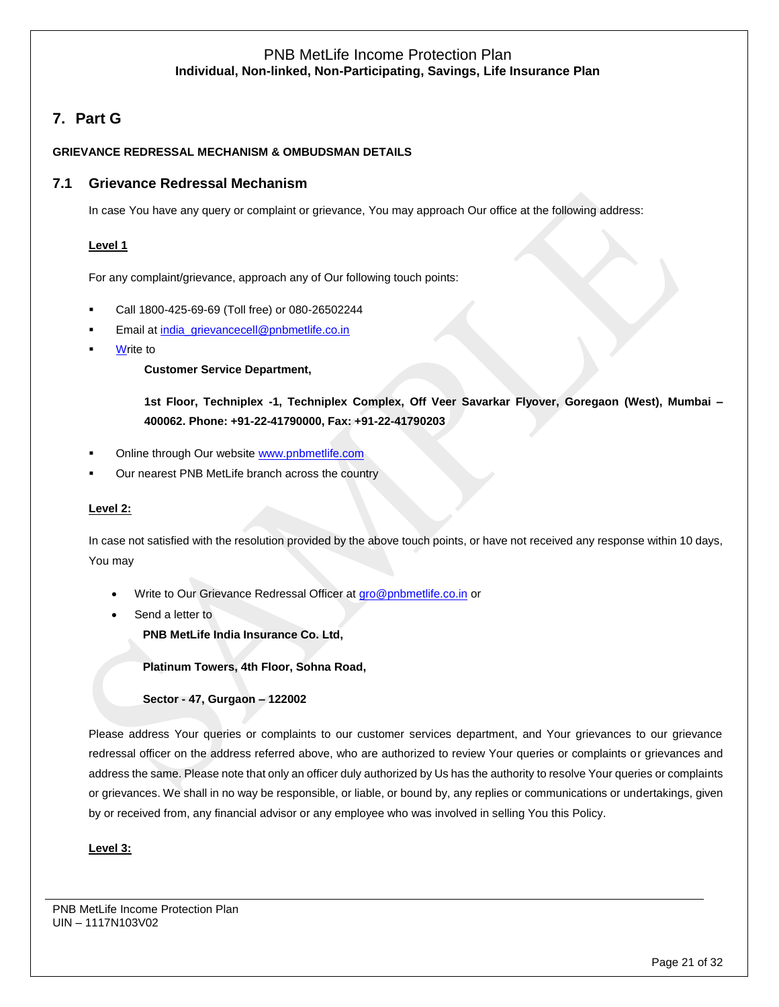# **7. Part G**

### **GRIEVANCE REDRESSAL MECHANISM & OMBUDSMAN DETAILS**

# **7.1 Grievance Redressal Mechanism**

In case You have any query or complaint or grievance, You may approach Our office at the following address:

### **Level 1**

For any complaint/grievance, approach any of Our following touch points:

- Call 1800-425-69-69 (Toll free) or 080-26502244
- Email at [india\\_grievancecell@pnbmetlife.co.in](mailto:india_grievancecell@pnbmetlife.co.in)
- **Write to**

### **Customer Service Department,**

**1st Floor, Techniplex -1, Techniplex Complex, Off Veer Savarkar Flyover, Goregaon (West), Mumbai – 400062. Phone: +91-22-41790000, Fax: +91-22-41790203**

- Online through Our website [www.pnbmetlife.com](http://www.pnbmetlife.com/)
- Our nearest PNB MetLife branch across the country

### **Level 2:**

In case not satisfied with the resolution provided by the above touch points, or have not received any response within 10 days, You may

- Write to Our Grievance Redressal Officer at [gro@pnbmetlife.co.in](mailto:gro@pnbmetlife.co.in) or
- Send a letter to

**PNB MetLife India Insurance Co. Ltd,**

**Platinum Towers, 4th Floor, Sohna Road,** 

**Sector - 47, Gurgaon – 122002**

Please address Your queries or complaints to our customer services department, and Your grievances to our grievance redressal officer on the address referred above, who are authorized to review Your queries or complaints or grievances and address the same. Please note that only an officer duly authorized by Us has the authority to resolve Your queries or complaints or grievances. We shall in no way be responsible, or liable, or bound by, any replies or communications or undertakings, given by or received from, any financial advisor or any employee who was involved in selling You this Policy.

### **Level 3:**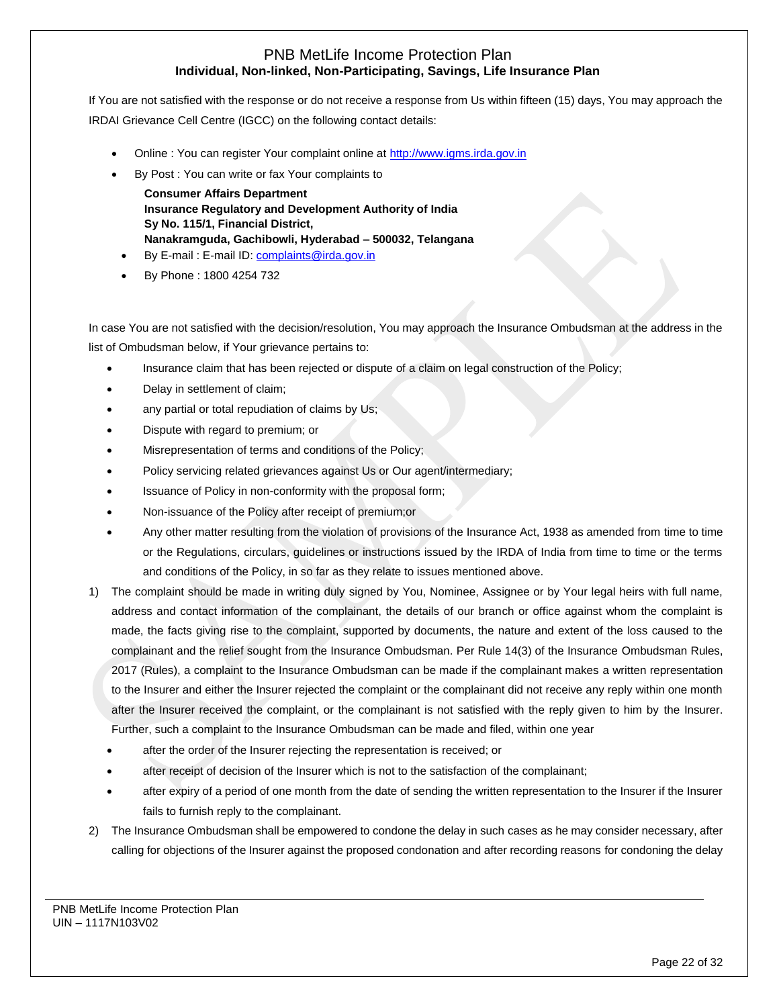If You are not satisfied with the response or do not receive a response from Us within fifteen (15) days, You may approach the IRDAI Grievance Cell Centre (IGCC) on the following contact details:

- Online : You can register Your complaint online at [http://www.igms.irda.gov.in](http://www.igms.irda.gov.in/)
- By Post : You can write or fax Your complaints to
	- **Consumer Affairs Department Insurance Regulatory and Development Authority of India Sy No. 115/1, Financial District, Nanakramguda, Gachibowli, Hyderabad – 500032, Telangana**
	- By E-mail : E-mail ID[: complaints@irda.gov.in](mailto:complaints@irda.gov.in)
- By Phone : 1800 4254 732

In case You are not satisfied with the decision/resolution, You may approach the Insurance Ombudsman at the address in the list of Ombudsman below, if Your grievance pertains to:

- Insurance claim that has been rejected or dispute of a claim on legal construction of the Policy;
- Delay in settlement of claim;
- any partial or total repudiation of claims by Us;
- Dispute with regard to premium; or
- Misrepresentation of terms and conditions of the Policy;
- Policy servicing related grievances against Us or Our agent/intermediary;
- Issuance of Policy in non-conformity with the proposal form;
- Non-issuance of the Policy after receipt of premium;or
- Any other matter resulting from the violation of provisions of the Insurance Act, 1938 as amended from time to time or the Regulations, circulars, guidelines or instructions issued by the IRDA of India from time to time or the terms and conditions of the Policy, in so far as they relate to issues mentioned above.
- 1) The complaint should be made in writing duly signed by You, Nominee, Assignee or by Your legal heirs with full name, address and contact information of the complainant, the details of our branch or office against whom the complaint is made, the facts giving rise to the complaint, supported by documents, the nature and extent of the loss caused to the complainant and the relief sought from the Insurance Ombudsman. Per Rule 14(3) of the Insurance Ombudsman Rules, 2017 (Rules), a complaint to the Insurance Ombudsman can be made if the complainant makes a written representation to the Insurer and either the Insurer rejected the complaint or the complainant did not receive any reply within one month after the Insurer received the complaint, or the complainant is not satisfied with the reply given to him by the Insurer. Further, such a complaint to the Insurance Ombudsman can be made and filed, within one year
	- after the order of the Insurer rejecting the representation is received; or
	- after receipt of decision of the Insurer which is not to the satisfaction of the complainant;
	- after expiry of a period of one month from the date of sending the written representation to the Insurer if the Insurer fails to furnish reply to the complainant.
- 2) The Insurance Ombudsman shall be empowered to condone the delay in such cases as he may consider necessary, after calling for objections of the Insurer against the proposed condonation and after recording reasons for condoning the delay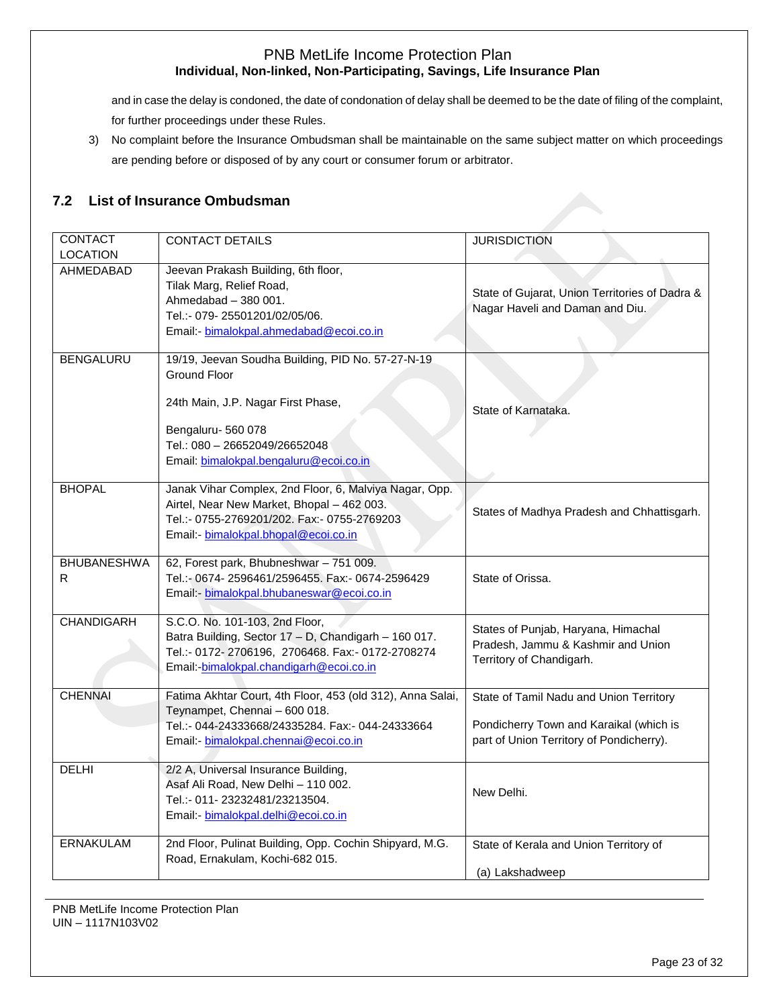and in case the delay is condoned, the date of condonation of delay shall be deemed to be the date of filing of the complaint, for further proceedings under these Rules.

3) No complaint before the Insurance Ombudsman shall be maintainable on the same subject matter on which proceedings are pending before or disposed of by any court or consumer forum or arbitrator.

# **7.2 List of Insurance Ombudsman**

| <b>CONTACT</b><br><b>LOCATION</b> | <b>CONTACT DETAILS</b>                                                                                                                                                                                         | <b>JURISDICTION</b>                                                                                                            |
|-----------------------------------|----------------------------------------------------------------------------------------------------------------------------------------------------------------------------------------------------------------|--------------------------------------------------------------------------------------------------------------------------------|
| AHMEDABAD                         | Jeevan Prakash Building, 6th floor,<br>Tilak Marg, Relief Road,<br>Ahmedabad - 380 001.<br>Tel.:- 079-25501201/02/05/06.<br>Email:- bimalokpal.ahmedabad@ecoi.co.in                                            | State of Gujarat, Union Territories of Dadra &<br>Nagar Haveli and Daman and Diu.                                              |
| <b>BENGALURU</b>                  | 19/19, Jeevan Soudha Building, PID No. 57-27-N-19<br><b>Ground Floor</b><br>24th Main, J.P. Nagar First Phase,<br>Bengaluru-560 078<br>Tel.: 080 - 26652049/26652048<br>Email: bimalokpal.bengaluru@ecoi.co.in | State of Karnataka.                                                                                                            |
| <b>BHOPAL</b>                     | Janak Vihar Complex, 2nd Floor, 6, Malviya Nagar, Opp.<br>Airtel, Near New Market, Bhopal - 462 003.<br>Tel.:- 0755-2769201/202. Fax:- 0755-2769203<br>Email: bimalokpal.bhopal@ecoi.co.in                     | States of Madhya Pradesh and Chhattisgarh.                                                                                     |
| <b>BHUBANESHWA</b><br>R           | 62, Forest park, Bhubneshwar - 751 009.<br>Tel.:- 0674-2596461/2596455. Fax:- 0674-2596429<br>Email:- bimalokpal.bhubaneswar@ecoi.co.in                                                                        | State of Orissa.                                                                                                               |
| <b>CHANDIGARH</b>                 | S.C.O. No. 101-103, 2nd Floor,<br>Batra Building, Sector 17 - D, Chandigarh - 160 017.<br>Tel.:- 0172-2706196, 2706468. Fax:- 0172-2708274<br>Email:-bimalokpal.chandigarh@ecoi.co.in                          | States of Punjab, Haryana, Himachal<br>Pradesh, Jammu & Kashmir and Union<br>Territory of Chandigarh.                          |
| <b>CHENNAI</b>                    | Fatima Akhtar Court, 4th Floor, 453 (old 312), Anna Salai,<br>Teynampet, Chennai - 600 018.<br>Tel.:- 044-24333668/24335284. Fax:- 044-24333664<br>Email:- bimalokpal.chennai@ecoi.co.in                       | State of Tamil Nadu and Union Territory<br>Pondicherry Town and Karaikal (which is<br>part of Union Territory of Pondicherry). |
| <b>DELHI</b>                      | 2/2 A, Universal Insurance Building,<br>Asaf Ali Road, New Delhi - 110 002.<br>Tel.:- 011-23232481/23213504.<br>Email: - bimalokpal.delhi@ecoi.co.in                                                           | New Delhi.                                                                                                                     |
| <b>ERNAKULAM</b>                  | 2nd Floor, Pulinat Building, Opp. Cochin Shipyard, M.G.<br>Road, Ernakulam, Kochi-682 015.                                                                                                                     | State of Kerala and Union Territory of<br>(a) Lakshadweep                                                                      |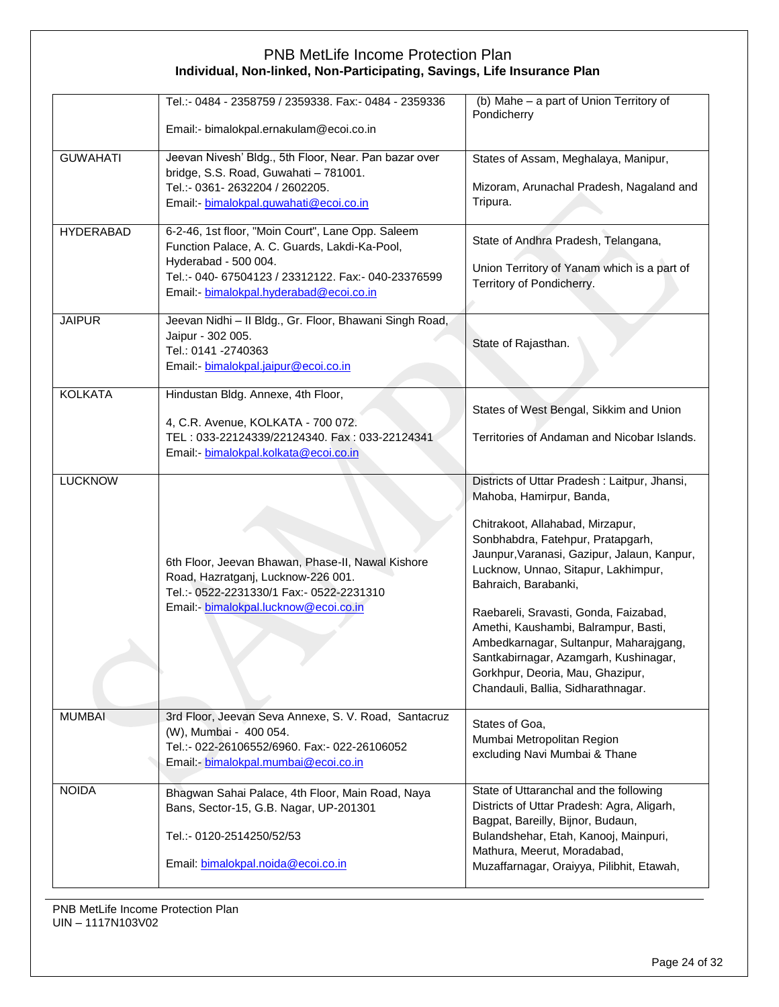|                  | Tel.:- 0484 - 2358759 / 2359338. Fax:- 0484 - 2359336<br>Email:- bimalokpal.ernakulam@ecoi.co.in                                                                                                                             | (b) Mahe - a part of Union Territory of<br>Pondicherry                                                                                                                                                                                                                                                                                                                                                                                                                                                        |
|------------------|------------------------------------------------------------------------------------------------------------------------------------------------------------------------------------------------------------------------------|---------------------------------------------------------------------------------------------------------------------------------------------------------------------------------------------------------------------------------------------------------------------------------------------------------------------------------------------------------------------------------------------------------------------------------------------------------------------------------------------------------------|
| <b>GUWAHATI</b>  | Jeevan Nivesh' Bldg., 5th Floor, Near. Pan bazar over<br>bridge, S.S. Road, Guwahati - 781001.<br>Tel.:- 0361-2632204 / 2602205.<br>Email: bimalokpal.guwahati@ecoi.co.in                                                    | States of Assam, Meghalaya, Manipur,<br>Mizoram, Arunachal Pradesh, Nagaland and<br>Tripura.                                                                                                                                                                                                                                                                                                                                                                                                                  |
| <b>HYDERABAD</b> | 6-2-46, 1st floor, "Moin Court", Lane Opp. Saleem<br>Function Palace, A. C. Guards, Lakdi-Ka-Pool,<br>Hyderabad - 500 004.<br>Tel.:- 040- 67504123 / 23312122. Fax:- 040-23376599<br>Email:- bimalokpal.hyderabad@ecoi.co.in | State of Andhra Pradesh, Telangana,<br>Union Territory of Yanam which is a part of<br>Territory of Pondicherry.                                                                                                                                                                                                                                                                                                                                                                                               |
| <b>JAIPUR</b>    | Jeevan Nidhi - II Bldg., Gr. Floor, Bhawani Singh Road,<br>Jaipur - 302 005.<br>Tel.: 0141 -2740363<br>Email:- bimalokpal.jaipur@ecoi.co.in                                                                                  | State of Rajasthan.                                                                                                                                                                                                                                                                                                                                                                                                                                                                                           |
| <b>KOLKATA</b>   | Hindustan Bldg. Annexe, 4th Floor,<br>4, C.R. Avenue, KOLKATA - 700 072.<br>TEL: 033-22124339/22124340. Fax: 033-22124341<br>Email: - bimalokpal.kolkata@ecoi.co.in                                                          | States of West Bengal, Sikkim and Union<br>Territories of Andaman and Nicobar Islands.                                                                                                                                                                                                                                                                                                                                                                                                                        |
| <b>LUCKNOW</b>   | 6th Floor, Jeevan Bhawan, Phase-II, Nawal Kishore<br>Road, Hazratganj, Lucknow-226 001.<br>Tel.:- 0522-2231330/1 Fax:- 0522-2231310<br>Email: bimalokpal.lucknow@ecoi.co.in                                                  | Districts of Uttar Pradesh: Laitpur, Jhansi,<br>Mahoba, Hamirpur, Banda,<br>Chitrakoot, Allahabad, Mirzapur,<br>Sonbhabdra, Fatehpur, Pratapgarh,<br>Jaunpur, Varanasi, Gazipur, Jalaun, Kanpur,<br>Lucknow, Unnao, Sitapur, Lakhimpur,<br>Bahraich, Barabanki,<br>Raebareli, Sravasti, Gonda, Faizabad,<br>Amethi, Kaushambi, Balrampur, Basti,<br>Ambedkarnagar, Sultanpur, Maharajgang,<br>Santkabirnagar, Azamgarh, Kushinagar,<br>Gorkhpur, Deoria, Mau, Ghazipur,<br>Chandauli, Ballia, Sidharathnagar. |
| <b>MUMBAI</b>    | 3rd Floor, Jeevan Seva Annexe, S. V. Road, Santacruz<br>(W), Mumbai - 400 054.<br>Tel.:- 022-26106552/6960. Fax:- 022-26106052<br>Email:- bimalokpal.mumbai@ecoi.co.in                                                       | States of Goa,<br>Mumbai Metropolitan Region<br>excluding Navi Mumbai & Thane                                                                                                                                                                                                                                                                                                                                                                                                                                 |
| <b>NOIDA</b>     | Bhagwan Sahai Palace, 4th Floor, Main Road, Naya<br>Bans, Sector-15, G.B. Nagar, UP-201301<br>Tel.:- 0120-2514250/52/53<br>Email: bimalokpal.noida@ecoi.co.in                                                                | State of Uttaranchal and the following<br>Districts of Uttar Pradesh: Agra, Aligarh,<br>Bagpat, Bareilly, Bijnor, Budaun,<br>Bulandshehar, Etah, Kanooj, Mainpuri,<br>Mathura, Meerut, Moradabad,<br>Muzaffarnagar, Oraiyya, Pilibhit, Etawah,                                                                                                                                                                                                                                                                |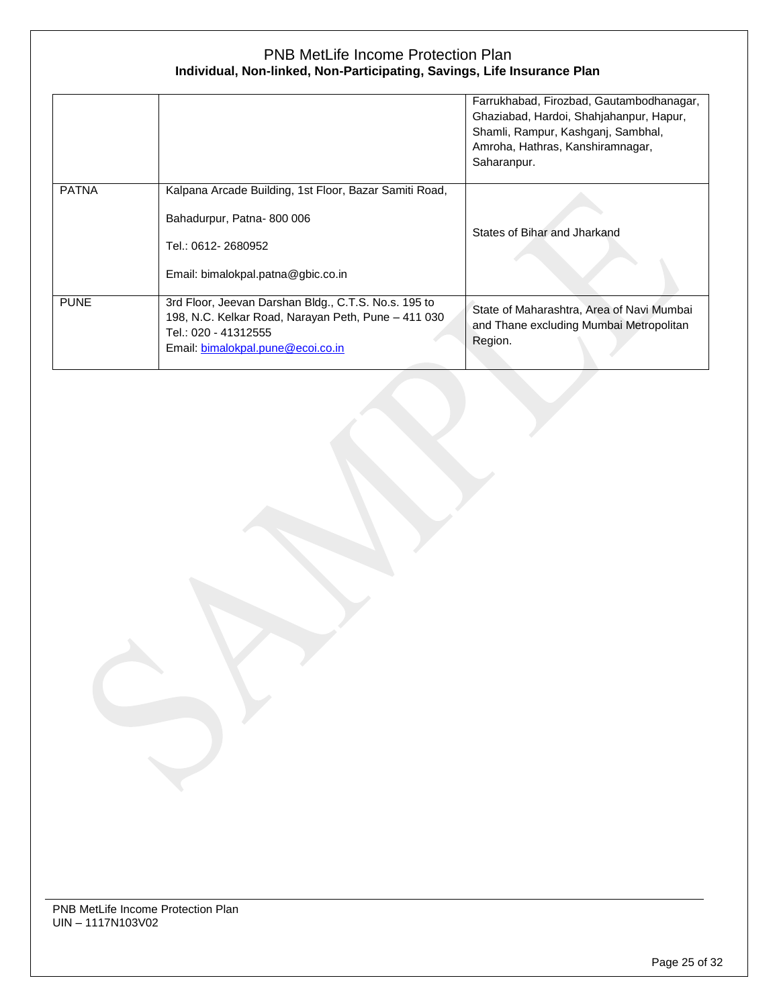|              |                                                                                                                                                                          | Farrukhabad, Firozbad, Gautambodhanagar,<br>Ghaziabad, Hardoi, Shahjahanpur, Hapur,<br>Shamli, Rampur, Kashganj, Sambhal,<br>Amroha, Hathras, Kanshiramnagar,<br>Saharanpur. |
|--------------|--------------------------------------------------------------------------------------------------------------------------------------------------------------------------|------------------------------------------------------------------------------------------------------------------------------------------------------------------------------|
| <b>PATNA</b> | Kalpana Arcade Building, 1st Floor, Bazar Samiti Road,<br>Bahadurpur, Patna-800 006<br>Tel.: 0612-2680952<br>Email: bimalokpal.patna@gbic.co.in                          | States of Bihar and Jharkand                                                                                                                                                 |
| <b>PUNE</b>  | 3rd Floor, Jeevan Darshan Bldg., C.T.S. No.s. 195 to<br>198, N.C. Kelkar Road, Narayan Peth, Pune - 411 030<br>Tel.: 020 - 41312555<br>Email: bimalokpal.pune@ecoi.co.in | State of Maharashtra, Area of Navi Mumbai<br>and Thane excluding Mumbai Metropolitan<br>Region.                                                                              |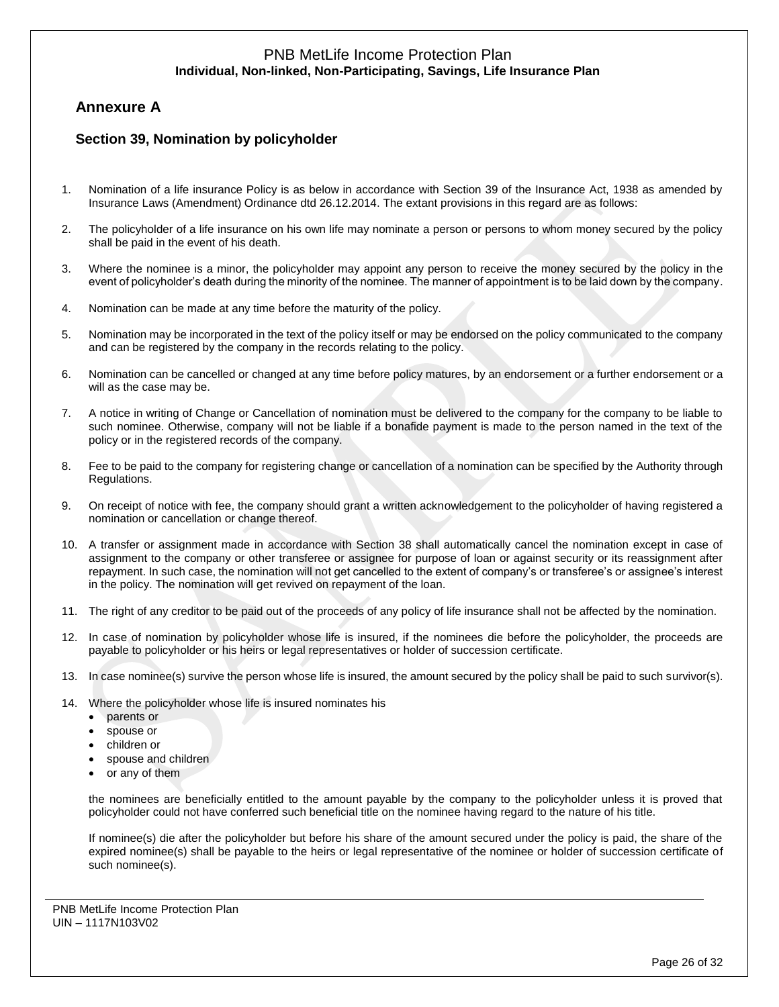# **Annexure A**

# **Section 39, Nomination by policyholder**

- 1. Nomination of a life insurance Policy is as below in accordance with Section 39 of the Insurance Act, 1938 as amended by Insurance Laws (Amendment) Ordinance dtd 26.12.2014. The extant provisions in this regard are as follows:
- 2. The policyholder of a life insurance on his own life may nominate a person or persons to whom money secured by the policy shall be paid in the event of his death.
- 3. Where the nominee is a minor, the policyholder may appoint any person to receive the money secured by the policy in the event of policyholder's death during the minority of the nominee. The manner of appointment is to be laid down by the company.
- 4. Nomination can be made at any time before the maturity of the policy.
- 5. Nomination may be incorporated in the text of the policy itself or may be endorsed on the policy communicated to the company and can be registered by the company in the records relating to the policy.
- 6. Nomination can be cancelled or changed at any time before policy matures, by an endorsement or a further endorsement or a will as the case may be.
- 7. A notice in writing of Change or Cancellation of nomination must be delivered to the company for the company to be liable to such nominee. Otherwise, company will not be liable if a bonafide payment is made to the person named in the text of the policy or in the registered records of the company.
- 8. Fee to be paid to the company for registering change or cancellation of a nomination can be specified by the Authority through Regulations.
- 9. On receipt of notice with fee, the company should grant a written acknowledgement to the policyholder of having registered a nomination or cancellation or change thereof.
- 10. A transfer or assignment made in accordance with Section 38 shall automatically cancel the nomination except in case of assignment to the company or other transferee or assignee for purpose of loan or against security or its reassignment after repayment. In such case, the nomination will not get cancelled to the extent of company's or transferee's or assignee's interest in the policy. The nomination will get revived on repayment of the loan.
- 11. The right of any creditor to be paid out of the proceeds of any policy of life insurance shall not be affected by the nomination.
- 12. In case of nomination by policyholder whose life is insured, if the nominees die before the policyholder, the proceeds are payable to policyholder or his heirs or legal representatives or holder of succession certificate.
- 13. In case nominee(s) survive the person whose life is insured, the amount secured by the policy shall be paid to such survivor(s).
- 14. Where the policyholder whose life is insured nominates his
	- parents or
	- spouse or
	- children or
	- spouse and children
	- or any of them

the nominees are beneficially entitled to the amount payable by the company to the policyholder unless it is proved that policyholder could not have conferred such beneficial title on the nominee having regard to the nature of his title.

If nominee(s) die after the policyholder but before his share of the amount secured under the policy is paid, the share of the expired nominee(s) shall be payable to the heirs or legal representative of the nominee or holder of succession certificate of such nominee(s).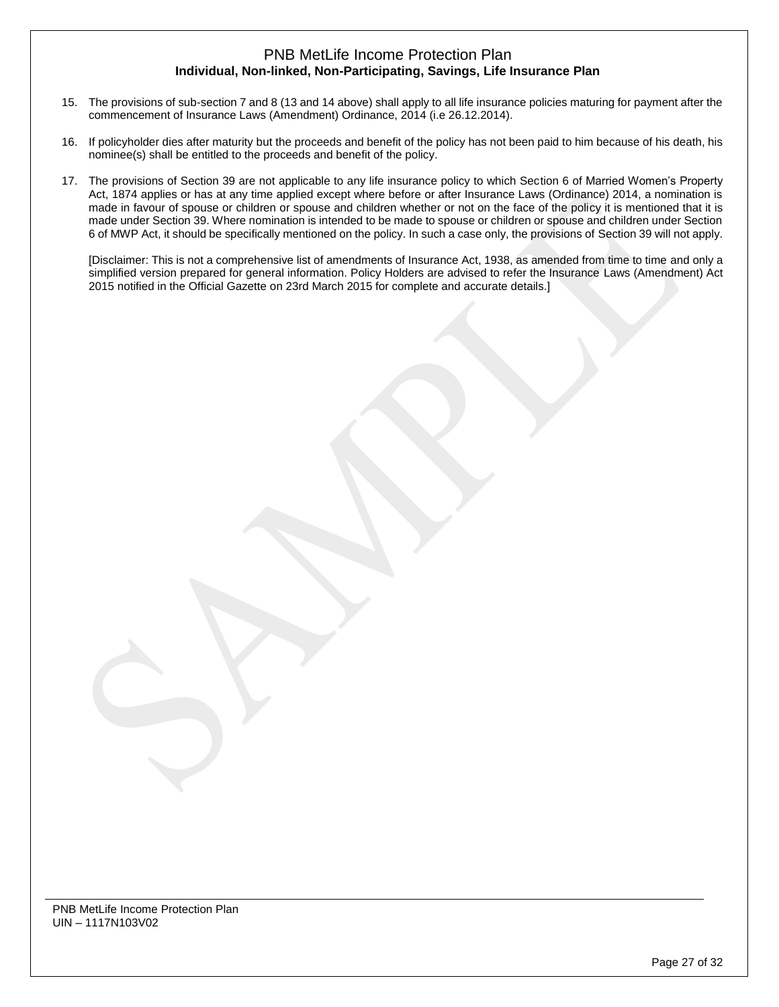- 15. The provisions of sub-section 7 and 8 (13 and 14 above) shall apply to all life insurance policies maturing for payment after the commencement of Insurance Laws (Amendment) Ordinance, 2014 (i.e 26.12.2014).
- 16. If policyholder dies after maturity but the proceeds and benefit of the policy has not been paid to him because of his death, his nominee(s) shall be entitled to the proceeds and benefit of the policy.
- 17. The provisions of Section 39 are not applicable to any life insurance policy to which Section 6 of Married Women's Property Act, 1874 applies or has at any time applied except where before or after Insurance Laws (Ordinance) 2014, a nomination is made in favour of spouse or children or spouse and children whether or not on the face of the policy it is mentioned that it is made under Section 39. Where nomination is intended to be made to spouse or children or spouse and children under Section 6 of MWP Act, it should be specifically mentioned on the policy. In such a case only, the provisions of Section 39 will not apply.

[Disclaimer: This is not a comprehensive list of amendments of Insurance Act, 1938, as amended from time to time and only a simplified version prepared for general information. Policy Holders are advised to refer the Insurance Laws (Amendment) Act 2015 notified in the Official Gazette on 23rd March 2015 for complete and accurate details.]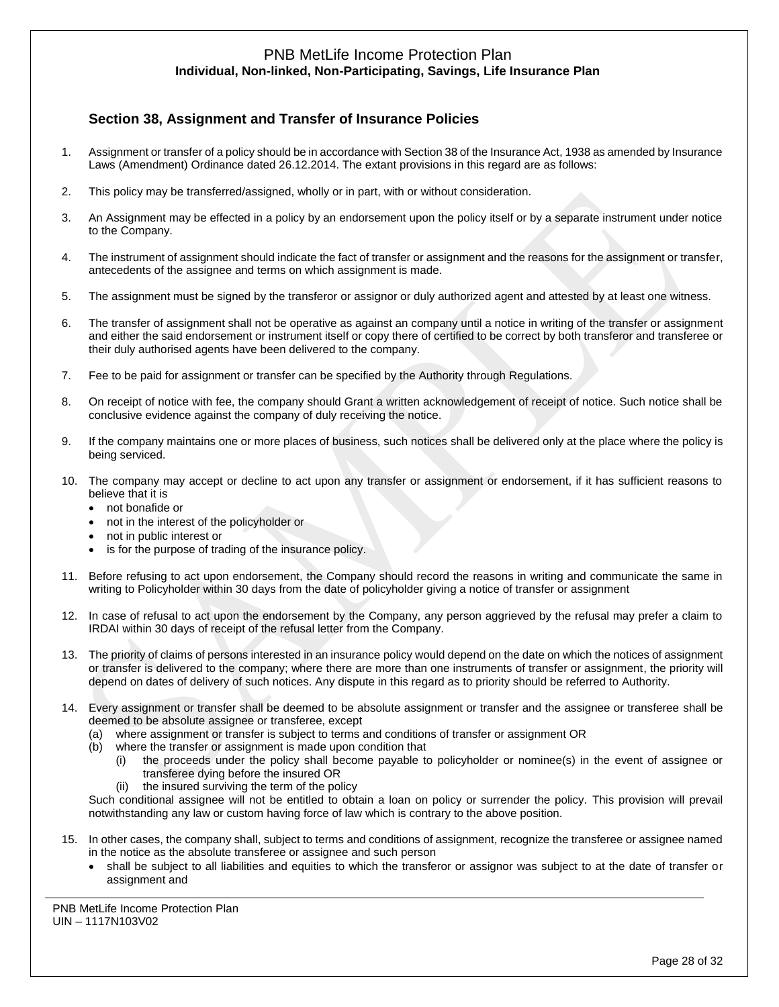# **Section 38, Assignment and Transfer of Insurance Policies**

- 1. Assignment or transfer of a policy should be in accordance with Section 38 of the Insurance Act, 1938 as amended by Insurance Laws (Amendment) Ordinance dated 26.12.2014. The extant provisions in this regard are as follows:
- 2. This policy may be transferred/assigned, wholly or in part, with or without consideration.
- 3. An Assignment may be effected in a policy by an endorsement upon the policy itself or by a separate instrument under notice to the Company.
- 4. The instrument of assignment should indicate the fact of transfer or assignment and the reasons for the assignment or transfer, antecedents of the assignee and terms on which assignment is made.
- 5. The assignment must be signed by the transferor or assignor or duly authorized agent and attested by at least one witness.
- 6. The transfer of assignment shall not be operative as against an company until a notice in writing of the transfer or assignment and either the said endorsement or instrument itself or copy there of certified to be correct by both transferor and transferee or their duly authorised agents have been delivered to the company.
- 7. Fee to be paid for assignment or transfer can be specified by the Authority through Regulations.
- 8. On receipt of notice with fee, the company should Grant a written acknowledgement of receipt of notice. Such notice shall be conclusive evidence against the company of duly receiving the notice.
- 9. If the company maintains one or more places of business, such notices shall be delivered only at the place where the policy is being serviced.
- 10. The company may accept or decline to act upon any transfer or assignment or endorsement, if it has sufficient reasons to believe that it is
	- not bonafide or
	- not in the interest of the policyholder or
	- not in public interest or
	- is for the purpose of trading of the insurance policy.
- 11. Before refusing to act upon endorsement, the Company should record the reasons in writing and communicate the same in writing to Policyholder within 30 days from the date of policyholder giving a notice of transfer or assignment
- 12. In case of refusal to act upon the endorsement by the Company, any person aggrieved by the refusal may prefer a claim to IRDAI within 30 days of receipt of the refusal letter from the Company.
- 13. The priority of claims of persons interested in an insurance policy would depend on the date on which the notices of assignment or transfer is delivered to the company; where there are more than one instruments of transfer or assignment, the priority will depend on dates of delivery of such notices. Any dispute in this regard as to priority should be referred to Authority.
- 14. Every assignment or transfer shall be deemed to be absolute assignment or transfer and the assignee or transferee shall be deemed to be absolute assignee or transferee, except
	- (a) where assignment or transfer is subject to terms and conditions of transfer or assignment OR
	- (b) where the transfer or assignment is made upon condition that
		- (i) the proceeds under the policy shall become payable to policyholder or nominee(s) in the event of assignee or transferee dying before the insured OR
		- (ii) the insured surviving the term of the policy

Such conditional assignee will not be entitled to obtain a loan on policy or surrender the policy. This provision will prevail notwithstanding any law or custom having force of law which is contrary to the above position.

- 15. In other cases, the company shall, subject to terms and conditions of assignment, recognize the transferee or assignee named in the notice as the absolute transferee or assignee and such person
	- shall be subject to all liabilities and equities to which the transferor or assignor was subject to at the date of transfer or assignment and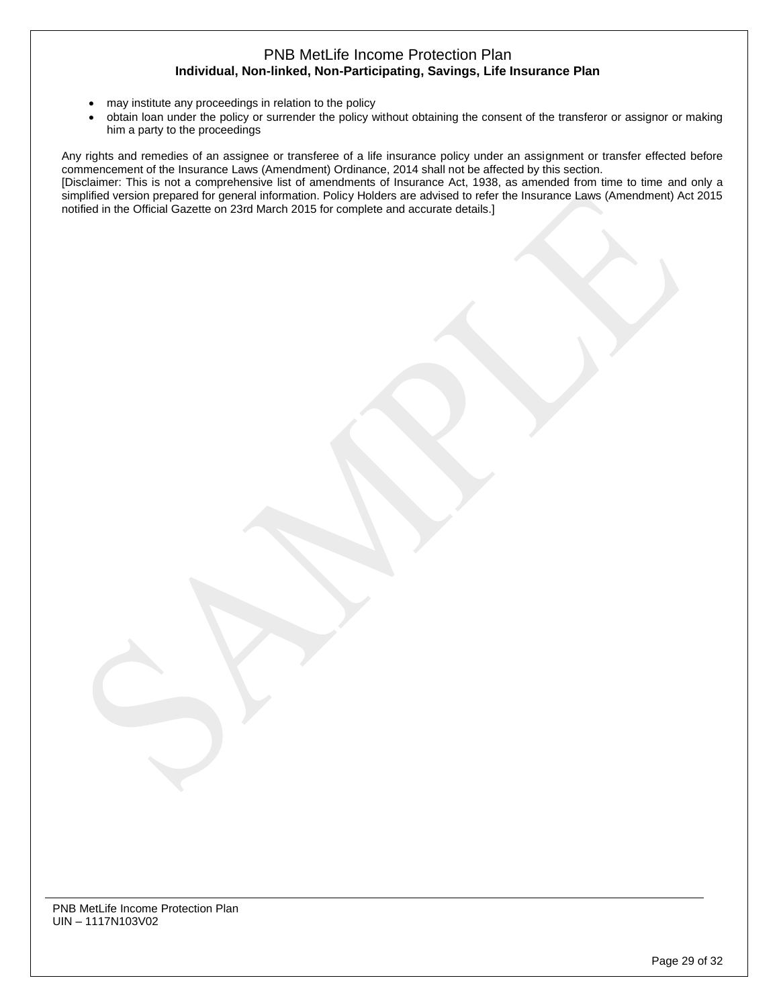- may institute any proceedings in relation to the policy
- obtain loan under the policy or surrender the policy without obtaining the consent of the transferor or assignor or making him a party to the proceedings

Any rights and remedies of an assignee or transferee of a life insurance policy under an assignment or transfer effected before commencement of the Insurance Laws (Amendment) Ordinance, 2014 shall not be affected by this section.

[Disclaimer: This is not a comprehensive list of amendments of Insurance Act, 1938, as amended from time to time and only a simplified version prepared for general information. Policy Holders are advised to refer the Insurance Laws (Amendment) Act 2015 notified in the Official Gazette on 23rd March 2015 for complete and accurate details.]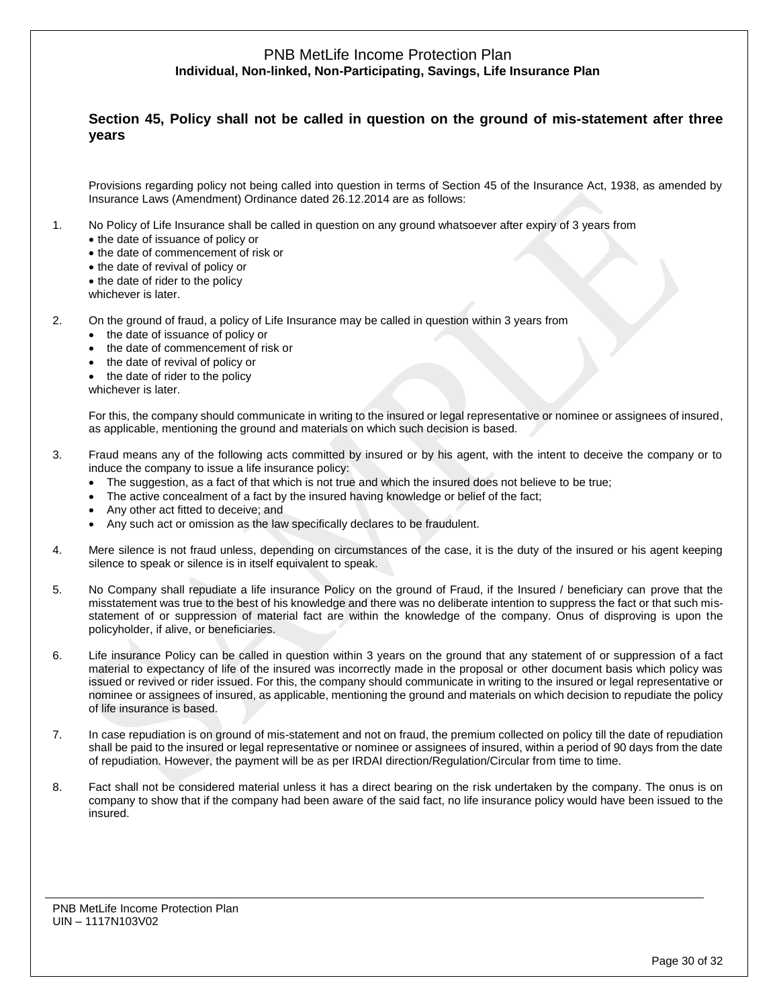# **Section 45, Policy shall not be called in question on the ground of mis-statement after three years**

Provisions regarding policy not being called into question in terms of Section 45 of the Insurance Act, 1938, as amended by Insurance Laws (Amendment) Ordinance dated 26.12.2014 are as follows:

- 1. No Policy of Life Insurance shall be called in question on any ground whatsoever after expiry of 3 years from
	- the date of issuance of policy or
	- the date of commencement of risk or
	- the date of revival of policy or
	- the date of rider to the policy
	- whichever is later.
- 2. On the ground of fraud, a policy of Life Insurance may be called in question within 3 years from
	- the date of issuance of policy or
	- the date of commencement of risk or
	- the date of revival of policy or
	- the date of rider to the policy
	- whichever is later.

For this, the company should communicate in writing to the insured or legal representative or nominee or assignees of insured, as applicable, mentioning the ground and materials on which such decision is based.

- 3. Fraud means any of the following acts committed by insured or by his agent, with the intent to deceive the company or to induce the company to issue a life insurance policy:
	- The suggestion, as a fact of that which is not true and which the insured does not believe to be true;
	- The active concealment of a fact by the insured having knowledge or belief of the fact;
	- Any other act fitted to deceive; and
	- Any such act or omission as the law specifically declares to be fraudulent.
- 4. Mere silence is not fraud unless, depending on circumstances of the case, it is the duty of the insured or his agent keeping silence to speak or silence is in itself equivalent to speak.
- 5. No Company shall repudiate a life insurance Policy on the ground of Fraud, if the Insured / beneficiary can prove that the misstatement was true to the best of his knowledge and there was no deliberate intention to suppress the fact or that such misstatement of or suppression of material fact are within the knowledge of the company. Onus of disproving is upon the policyholder, if alive, or beneficiaries.
- 6. Life insurance Policy can be called in question within 3 years on the ground that any statement of or suppression of a fact material to expectancy of life of the insured was incorrectly made in the proposal or other document basis which policy was issued or revived or rider issued. For this, the company should communicate in writing to the insured or legal representative or nominee or assignees of insured, as applicable, mentioning the ground and materials on which decision to repudiate the policy of life insurance is based.
- 7. In case repudiation is on ground of mis-statement and not on fraud, the premium collected on policy till the date of repudiation shall be paid to the insured or legal representative or nominee or assignees of insured, within a period of 90 days from the date of repudiation. However, the payment will be as per IRDAI direction/Regulation/Circular from time to time.
- 8. Fact shall not be considered material unless it has a direct bearing on the risk undertaken by the company. The onus is on company to show that if the company had been aware of the said fact, no life insurance policy would have been issued to the insured.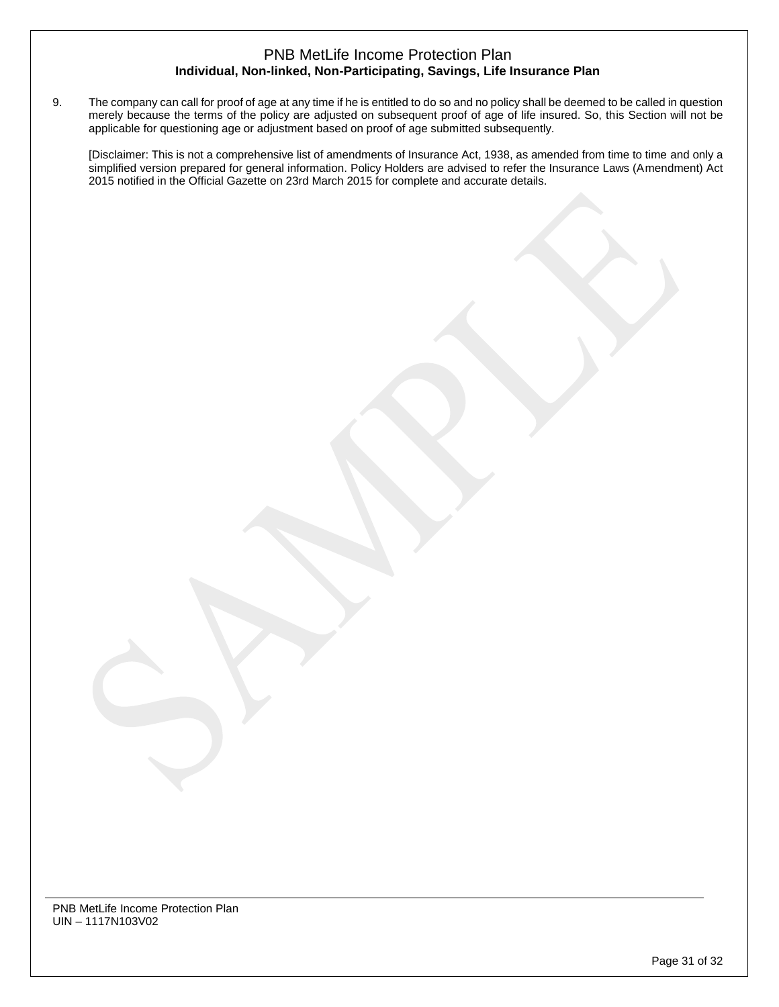9. The company can call for proof of age at any time if he is entitled to do so and no policy shall be deemed to be called in question merely because the terms of the policy are adjusted on subsequent proof of age of life insured. So, this Section will not be applicable for questioning age or adjustment based on proof of age submitted subsequently.

[Disclaimer: This is not a comprehensive list of amendments of Insurance Act, 1938, as amended from time to time and only a simplified version prepared for general information. Policy Holders are advised to refer the Insurance Laws (Amendment) Act 2015 notified in the Official Gazette on 23rd March 2015 for complete and accurate details.